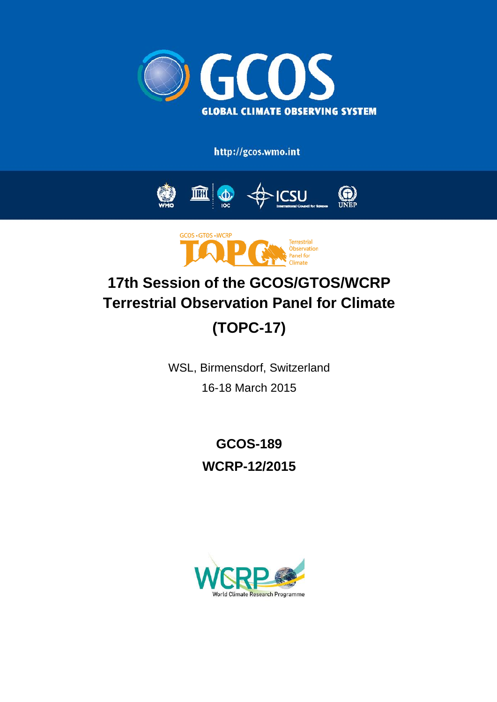

http://gcos.wmo.int





# **17th Session of the GCOS/GTOS/WCRP Terrestrial Observation Panel for Climate (TOPC-17)**

WSL, Birmensdorf, Switzerland 16-18 March 2015

> **GCOS-189 WCRP-12/2015**

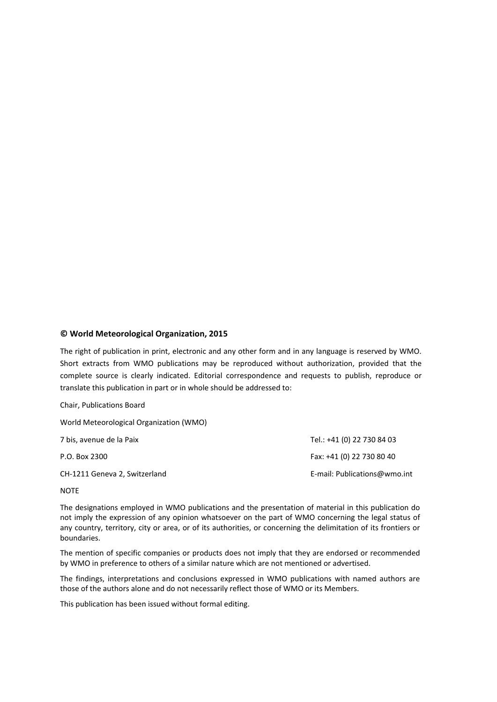### **© World Meteorological Organization, 2015**

The right of publication in print, electronic and any other form and in any language is reserved by WMO. Short extracts from WMO publications may be reproduced without authorization, provided that the complete source is clearly indicated. Editorial correspondence and requests to publish, reproduce or translate this publication in part or in whole should be addressed to:

Chair, Publications Board

World Meteorological Organization (WMO)

| 7 bis, avenue de la Paix      | Tel.: +41 (0) 22 730 84 03   |
|-------------------------------|------------------------------|
| P.O. Box 2300                 | Fax: +41 (0) 22 730 80 40    |
| CH-1211 Geneva 2, Switzerland | E-mail: Publications@wmo.int |

**NOTE** 

The designations employed in WMO publications and the presentation of material in this publication do not imply the expression of any opinion whatsoever on the part of WMO concerning the legal status of any country, territory, city or area, or of its authorities, or concerning the delimitation of its frontiers or boundaries.

The mention of specific companies or products does not imply that they are endorsed or recommended by WMO in preference to others of a similar nature which are not mentioned or advertised.

The findings, interpretations and conclusions expressed in WMO publications with named authors are those of the authors alone and do not necessarily reflect those of WMO or its Members.

This publication has been issued without formal editing.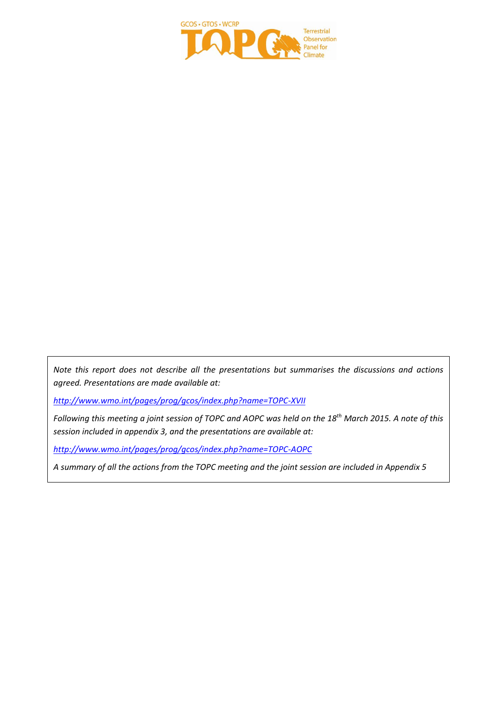

*Note this report does not describe all the presentations but summarises the discussions and actions agreed. Presentations are made available at:*

*<http://www.wmo.int/pages/prog/gcos/index.php?name=TOPC-XVII>*

*Following this meeting a joint session of TOPC and AOPC was held on the 18th March 2015. A note of this session included in appendix 3, and the presentations are available at:*

*<http://www.wmo.int/pages/prog/gcos/index.php?name=TOPC-AOPC>*

*A summary of all the actions from the TOPC meeting and the joint session are included in Appendix 5*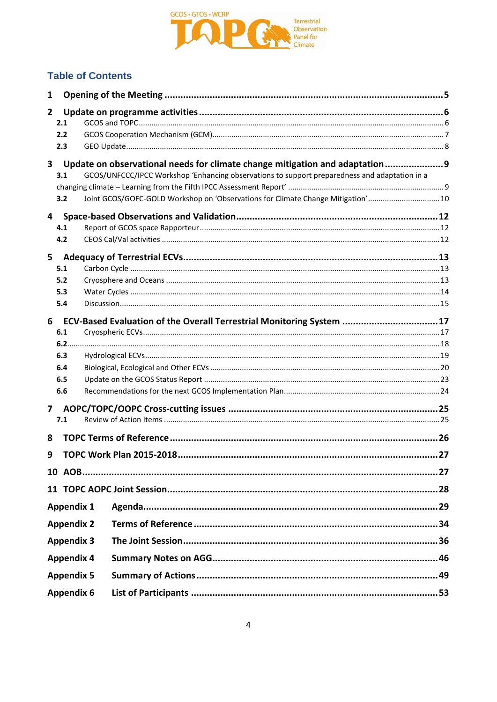

## **Table of Contents**

| 1                       |                   |                                                                                               |  |
|-------------------------|-------------------|-----------------------------------------------------------------------------------------------|--|
| 2 <sup>1</sup>          |                   |                                                                                               |  |
|                         | 2.1               |                                                                                               |  |
|                         | 2.2               |                                                                                               |  |
|                         | 2.3               |                                                                                               |  |
| $\overline{\mathbf{3}}$ |                   | Update on observational needs for climate change mitigation and adaptation                    |  |
|                         | 3.1               | GCOS/UNFCCC/IPCC Workshop 'Enhancing observations to support preparedness and adaptation in a |  |
|                         |                   |                                                                                               |  |
|                         | 3.2               | Joint GCOS/GOFC-GOLD Workshop on 'Observations for Climate Change Mitigation'10               |  |
|                         | 4                 |                                                                                               |  |
|                         | 4.1               |                                                                                               |  |
|                         | 4.2               |                                                                                               |  |
| 5                       |                   |                                                                                               |  |
|                         | 5.1               |                                                                                               |  |
|                         | 5.2               |                                                                                               |  |
|                         | 5.3               |                                                                                               |  |
|                         | 5.4               |                                                                                               |  |
| 6                       |                   | ECV-Based Evaluation of the Overall Terrestrial Monitoring System  17                         |  |
|                         | 6.1               |                                                                                               |  |
|                         |                   |                                                                                               |  |
|                         | 6.3               |                                                                                               |  |
|                         | 6.4               |                                                                                               |  |
|                         | 6.5               |                                                                                               |  |
|                         | 6.6               |                                                                                               |  |
| $\overline{\mathbf{z}}$ |                   |                                                                                               |  |
|                         | 7.1               |                                                                                               |  |
| 8                       |                   |                                                                                               |  |
| 9                       |                   |                                                                                               |  |
|                         |                   |                                                                                               |  |
|                         |                   |                                                                                               |  |
|                         |                   |                                                                                               |  |
|                         | <b>Appendix 1</b> |                                                                                               |  |
|                         | <b>Appendix 2</b> |                                                                                               |  |
|                         | <b>Appendix 3</b> |                                                                                               |  |
|                         | <b>Appendix 4</b> |                                                                                               |  |
|                         | <b>Appendix 5</b> |                                                                                               |  |
|                         | <b>Appendix 6</b> |                                                                                               |  |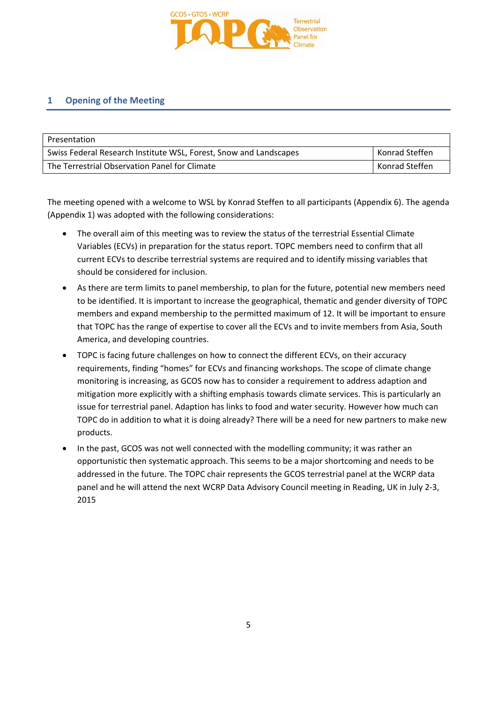

### **1 Opening of the Meeting**

| Presentation                                                      |                |
|-------------------------------------------------------------------|----------------|
| Swiss Federal Research Institute WSL, Forest, Snow and Landscapes | Konrad Steffen |
| The Terrestrial Observation Panel for Climate                     | Konrad Steffen |

The meeting opened with a welcome to WSL by Konrad Steffen to all participants (Appendix 6). The agenda (Appendix 1) was adopted with the following considerations:

- The overall aim of this meeting was to review the status of the terrestrial Essential Climate Variables (ECVs) in preparation for the status report. TOPC members need to confirm that all current ECVs to describe terrestrial systems are required and to identify missing variables that should be considered for inclusion.
- As there are term limits to panel membership, to plan for the future, potential new members need to be identified. It is important to increase the geographical, thematic and gender diversity of TOPC members and expand membership to the permitted maximum of 12. It will be important to ensure that TOPC has the range of expertise to cover all the ECVs and to invite members from Asia, South America, and developing countries.
- TOPC is facing future challenges on how to connect the different ECVs, on their accuracy requirements, finding "homes" for ECVs and financing workshops. The scope of climate change monitoring is increasing, as GCOS now has to consider a requirement to address adaption and mitigation more explicitly with a shifting emphasis towards climate services. This is particularly an issue for terrestrial panel. Adaption has links to food and water security. However how much can TOPC do in addition to what it is doing already? There will be a need for new partners to make new products.
- In the past, GCOS was not well connected with the modelling community; it was rather an opportunistic then systematic approach. This seems to be a major shortcoming and needs to be addressed in the future. The TOPC chair represents the GCOS terrestrial panel at the WCRP data panel and he will attend the next WCRP Data Advisory Council meeting in Reading, UK in July 2-3, 2015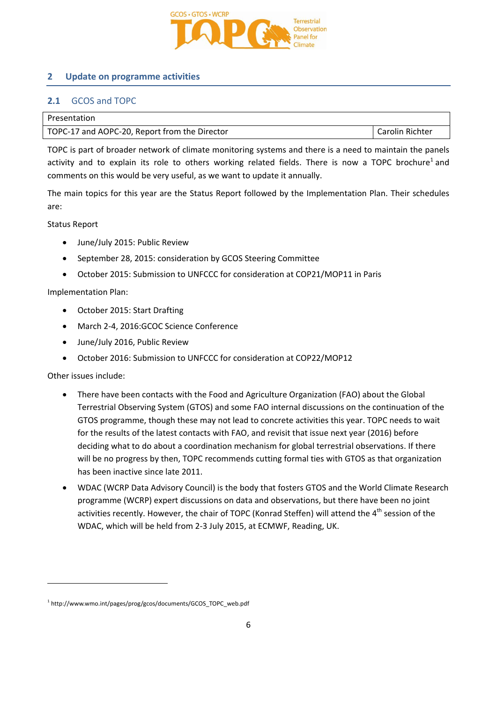

### **2 Update on programme activities**

### **2.1** GCOS and TOPC

| Presentation                                  |                 |
|-----------------------------------------------|-----------------|
| TOPC-17 and AOPC-20, Report from the Director | Carolin Richter |

TOPC is part of broader network of climate monitoring systems and there is a need to maintain the panels activity and to explain its role to others working related fields. There is now a TOPC brochure<sup>1</sup> and comments on this would be very useful, as we want to update it annually.

The main topics for this year are the Status Report followed by the Implementation Plan. Their schedules are:

Status Report

- June/July 2015: Public Review
- September 28, 2015: consideration by GCOS Steering Committee
- October 2015: Submission to UNFCCC for consideration at COP21/MOP11 in Paris

Implementation Plan:

- October 2015: Start Drafting
- March 2-4, 2016:GCOC Science Conference
- June/July 2016, Public Review
- October 2016: Submission to UNFCCC for consideration at COP22/MOP12

Other issues include:

 $\overline{a}$ 

- There have been contacts with the Food and Agriculture Organization (FAO) about the Global Terrestrial Observing System (GTOS) and some FAO internal discussions on the continuation of the GTOS programme, though these may not lead to concrete activities this year. TOPC needs to wait for the results of the latest contacts with FAO, and revisit that issue next year (2016) before deciding what to do about a coordination mechanism for global terrestrial observations. If there will be no progress by then, TOPC recommends cutting formal ties with GTOS as that organization has been inactive since late 2011.
- WDAC (WCRP Data Advisory Council) is the body that fosters GTOS and the World Climate Research programme (WCRP) expert discussions on data and observations, but there have been no joint activities recently. However, the chair of TOPC (Konrad Steffen) will attend the 4<sup>th</sup> session of the WDAC, which will be held from 2-3 July 2015, at ECMWF, Reading, UK.

<sup>1</sup> http://www.wmo.int/pages/prog/gcos/documents/GCOS\_TOPC\_web.pdf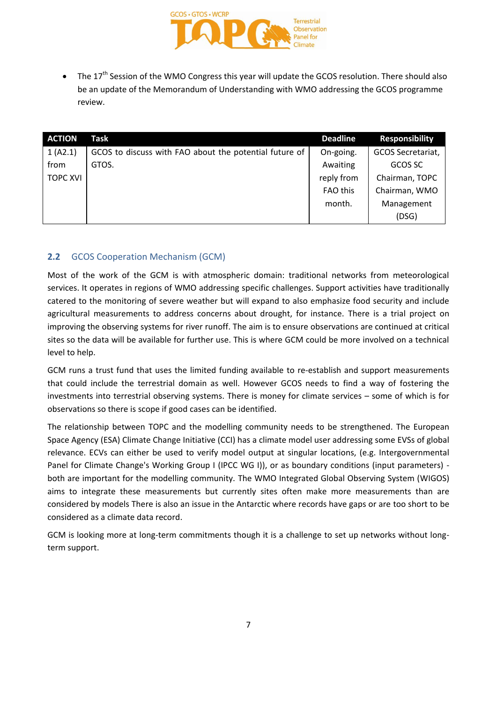

• The  $17<sup>th</sup>$  Session of the WMO Congress this year will update the GCOS resolution. There should also be an update of the Memorandum of Understanding with WMO addressing the GCOS programme review.

| <b>ACTION</b>   | Task                                                   | <b>Deadline</b> | <b>Responsibility</b> |
|-----------------|--------------------------------------------------------|-----------------|-----------------------|
| 1 (A2.1)        | GCOS to discuss with FAO about the potential future of | On-going.       | GCOS Secretariat,     |
| from            | GTOS.                                                  | Awaiting        | GCOS SC               |
| <b>TOPC XVI</b> |                                                        | reply from      | Chairman, TOPC        |
|                 |                                                        | FAO this        | Chairman, WMO         |
|                 |                                                        | month.          | Management            |
|                 |                                                        |                 | (DSG)                 |

### **2.2** GCOS Cooperation Mechanism (GCM)

Most of the work of the GCM is with atmospheric domain: traditional networks from meteorological services. It operates in regions of WMO addressing specific challenges. Support activities have traditionally catered to the monitoring of severe weather but will expand to also emphasize food security and include agricultural measurements to address concerns about drought, for instance. There is a trial project on improving the observing systems for river runoff. The aim is to ensure observations are continued at critical sites so the data will be available for further use. This is where GCM could be more involved on a technical level to help.

GCM runs a trust fund that uses the limited funding available to re-establish and support measurements that could include the terrestrial domain as well. However GCOS needs to find a way of fostering the investments into terrestrial observing systems. There is money for climate services – some of which is for observations so there is scope if good cases can be identified.

The relationship between TOPC and the modelling community needs to be strengthened. The European Space Agency (ESA) Climate Change Initiative (CCI) has a climate model user addressing some EVSs of global relevance. ECVs can either be used to verify model output at singular locations, (e.g. Intergovernmental Panel for Climate Change's Working Group I (IPCC WG I)), or as boundary conditions (input parameters) both are important for the modelling community. The WMO Integrated Global Observing System (WIGOS) aims to integrate these measurements but currently sites often make more measurements than are considered by models There is also an issue in the Antarctic where records have gaps or are too short to be considered as a climate data record.

GCM is looking more at long-term commitments though it is a challenge to set up networks without longterm support.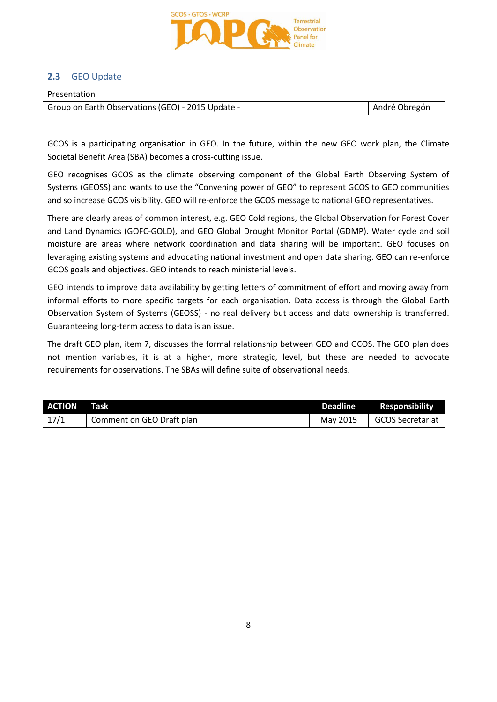

### **2.3** GEO Update

| Presentation                                      |               |
|---------------------------------------------------|---------------|
| Group on Earth Observations (GEO) - 2015 Update - | André Obregón |

GCOS is a participating organisation in GEO. In the future, within the new GEO work plan, the Climate Societal Benefit Area (SBA) becomes a cross-cutting issue.

GEO recognises GCOS as the climate observing component of the Global Earth Observing System of Systems (GEOSS) and wants to use the "Convening power of GEO" to represent GCOS to GEO communities and so increase GCOS visibility. GEO will re-enforce the GCOS message to national GEO representatives.

There are clearly areas of common interest, e.g. GEO Cold regions, the Global Observation for Forest Cover and Land Dynamics (GOFC-GOLD), and GEO Global Drought Monitor Portal (GDMP). Water cycle and soil moisture are areas where network coordination and data sharing will be important. GEO focuses on leveraging existing systems and advocating national investment and open data sharing. GEO can re-enforce GCOS goals and objectives. GEO intends to reach ministerial levels.

GEO intends to improve data availability by getting letters of commitment of effort and moving away from informal efforts to more specific targets for each organisation. Data access is through the Global Earth Observation System of Systems (GEOSS) - no real delivery but access and data ownership is transferred. Guaranteeing long-term access to data is an issue.

The draft GEO plan, item 7, discusses the formal relationship between GEO and GCOS. The GEO plan does not mention variables, it is at a higher, more strategic, level, but these are needed to advocate requirements for observations. The SBAs will define suite of observational needs.

| ACTION | Task                      |          | Deadline Responsibility |
|--------|---------------------------|----------|-------------------------|
| 17/1   | Comment on GEO Draft plan | May 2015 | GCOS Secretariat        |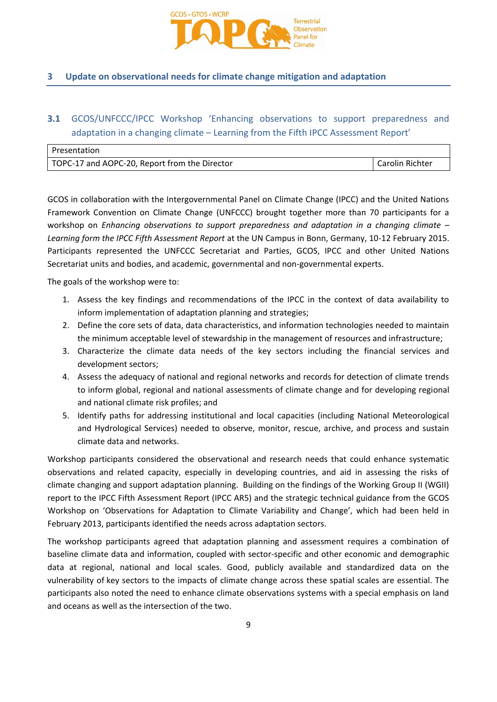

### **3 Update on observational needs for climate change mitigation and adaptation**

## **3.1** GCOS/UNFCCC/IPCC Workshop 'Enhancing observations to support preparedness and adaptation in a changing climate – Learning from the Fifth IPCC Assessment Report'

| Presentation                                  |                 |
|-----------------------------------------------|-----------------|
| TOPC-17 and AOPC-20, Report from the Director | Carolin Richter |

GCOS in collaboration with the Intergovernmental Panel on Climate Change (IPCC) and the United Nations Framework Convention on Climate Change (UNFCCC) brought together more than 70 participants for a workshop on *Enhancing observations to support preparedness and adaptation in a changing climate – Learning form the IPCC Fifth Assessment Report* at the UN Campus in Bonn, Germany, 10-12 February 2015. Participants represented the UNFCCC Secretariat and Parties, GCOS, IPCC and other United Nations Secretariat units and bodies, and academic, governmental and non-governmental experts.

The goals of the workshop were to:

- 1. Assess the key findings and recommendations of the IPCC in the context of data availability to inform implementation of adaptation planning and strategies;
- 2. Define the core sets of data, data characteristics, and information technologies needed to maintain the minimum acceptable level of stewardship in the management of resources and infrastructure;
- 3. Characterize the climate data needs of the key sectors including the financial services and development sectors;
- 4. Assess the adequacy of national and regional networks and records for detection of climate trends to inform global, regional and national assessments of climate change and for developing regional and national climate risk profiles; and
- 5. Identify paths for addressing institutional and local capacities (including National Meteorological and Hydrological Services) needed to observe, monitor, rescue, archive, and process and sustain climate data and networks.

Workshop participants considered the observational and research needs that could enhance systematic observations and related capacity, especially in developing countries, and aid in assessing the risks of climate changing and support adaptation planning. Building on the findings of the Working Group II (WGII) report to the IPCC Fifth Assessment Report (IPCC AR5) and the strategic technical guidance from the GCOS Workshop on 'Observations for Adaptation to Climate Variability and Change', which had been held in February 2013, participants identified the needs across adaptation sectors.

The workshop participants agreed that adaptation planning and assessment requires a combination of baseline climate data and information, coupled with sector-specific and other economic and demographic data at regional, national and local scales. Good, publicly available and standardized data on the vulnerability of key sectors to the impacts of climate change across these spatial scales are essential. The participants also noted the need to enhance climate observations systems with a special emphasis on land and oceans as well as the intersection of the two.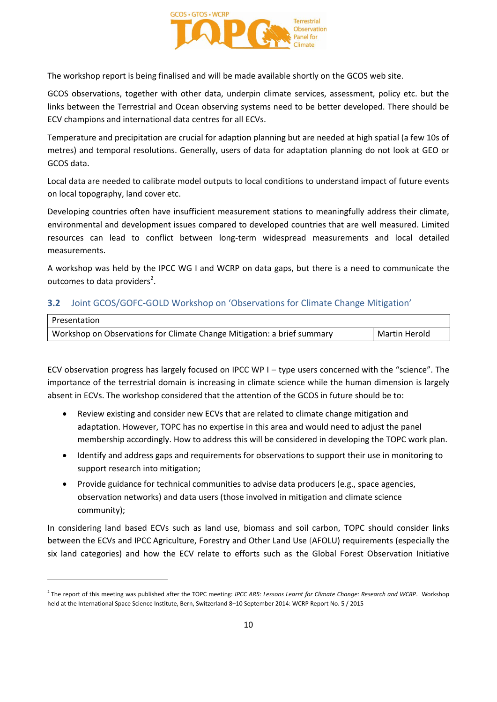

The workshop report is being finalised and will be made available shortly on the GCOS web site.

GCOS observations, together with other data, underpin climate services, assessment, policy etc. but the links between the Terrestrial and Ocean observing systems need to be better developed. There should be ECV champions and international data centres for all ECVs.

Temperature and precipitation are crucial for adaption planning but are needed at high spatial (a few 10s of metres) and temporal resolutions. Generally, users of data for adaptation planning do not look at GEO or GCOS data.

Local data are needed to calibrate model outputs to local conditions to understand impact of future events on local topography, land cover etc.

Developing countries often have insufficient measurement stations to meaningfully address their climate, environmental and development issues compared to developed countries that are well measured. Limited resources can lead to conflict between long-term widespread measurements and local detailed measurements.

A workshop was held by the IPCC WG I and WCRP on data gaps, but there is a need to communicate the outcomes to data providers<sup>2</sup>.

### **3.2** Joint GCOS/GOFC-GOLD Workshop on 'Observations for Climate Change Mitigation'

| Presentation                                                            |               |
|-------------------------------------------------------------------------|---------------|
| Workshop on Observations for Climate Change Mitigation: a brief summary | Martin Herold |

ECV observation progress has largely focused on IPCC WP I – type users concerned with the "science". The importance of the terrestrial domain is increasing in climate science while the human dimension is largely absent in ECVs. The workshop considered that the attention of the GCOS in future should be to:

- Review existing and consider new ECVs that are related to climate change mitigation and adaptation. However, TOPC has no expertise in this area and would need to adjust the panel membership accordingly. How to address this will be considered in developing the TOPC work plan.
- Identify and address gaps and requirements for observations to support their use in monitoring to support research into mitigation;
- Provide guidance for technical communities to advise data producers (e.g., space agencies, observation networks) and data users (those involved in mitigation and climate science community);

In considering land based ECVs such as land use, biomass and soil carbon, TOPC should consider links between the ECVs and IPCC Agriculture, Forestry and Other Land Use (AFOLU) requirements (especially the six land categories) and how the ECV relate to efforts such as the Global Forest Observation Initiative

 $\overline{a}$ 

<sup>2</sup> The report of this meeting was published after the TOPC meeting: *IPCC AR5: Lessons Learnt for Climate Change: Research and WCRP*. Workshop held at the International Space Science Institute, Bern, Switzerland 8–10 September 2014: WCRP Report No. 5 / 2015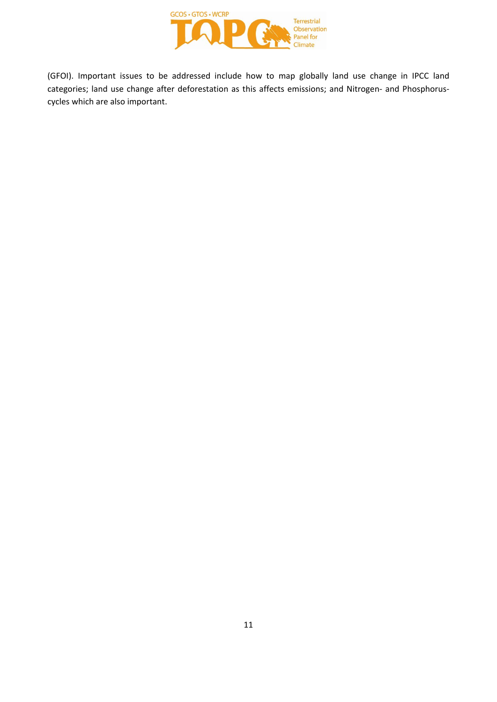

(GFOI). Important issues to be addressed include how to map globally land use change in IPCC land categories; land use change after deforestation as this affects emissions; and Nitrogen- and Phosphoruscycles which are also important.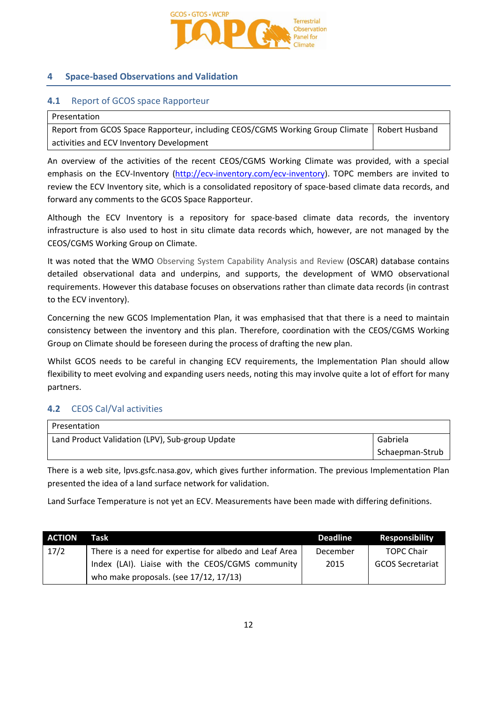

### **4 Space-based Observations and Validation**

### **4.1** Report of GCOS space Rapporteur

| l Presentation                                                                                |  |
|-----------------------------------------------------------------------------------------------|--|
| Report from GCOS Space Rapporteur, including CEOS/CGMS Working Group Climate   Robert Husband |  |
| activities and ECV Inventory Development                                                      |  |

An overview of the activities of the recent CEOS/CGMS Working Climate was provided, with a special emphasis on the ECV-Inventory [\(http://ecv-inventory.com/ecv-inventory\)](http://ecv-inventory.com/ecv-inventory). TOPC members are invited to review the ECV Inventory site, which is a consolidated repository of space-based climate data records, and forward any comments to the GCOS Space Rapporteur.

Although the ECV Inventory is a repository for space-based climate data records, the inventory infrastructure is also used to host in situ climate data records which, however, are not managed by the CEOS/CGMS Working Group on Climate.

It was noted that the WMO Observing System Capability Analysis and Review (OSCAR) database contains detailed observational data and underpins, and supports, the development of WMO observational requirements. However this database focuses on observations rather than climate data records (in contrast to the ECV inventory).

Concerning the new GCOS Implementation Plan, it was emphasised that that there is a need to maintain consistency between the inventory and this plan. Therefore, coordination with the CEOS/CGMS Working Group on Climate should be foreseen during the process of drafting the new plan.

Whilst GCOS needs to be careful in changing ECV requirements, the Implementation Plan should allow flexibility to meet evolving and expanding users needs, noting this may involve quite a lot of effort for many partners.

### **4.2** CEOS Cal/Val activities

| Presentation                                    |                 |
|-------------------------------------------------|-----------------|
| Land Product Validation (LPV), Sub-group Update | Gabriela        |
|                                                 | Schaepman-Strub |

There is a web site, lpvs.gsfc.nasa.gov, which gives further information. The previous Implementation Plan presented the idea of a land surface network for validation.

Land Surface Temperature is not yet an ECV. Measurements have been made with differing definitions.

| <b>ACTION</b> | Task                                                   | Deadline | <b>Responsibility</b>   |
|---------------|--------------------------------------------------------|----------|-------------------------|
| 17/2          | There is a need for expertise for albedo and Leaf Area | December | <b>TOPC Chair</b>       |
|               | Index (LAI). Liaise with the CEOS/CGMS community       | 2015     | <b>GCOS Secretariat</b> |
|               | who make proposals. (see $17/12$ , $17/13$ )           |          |                         |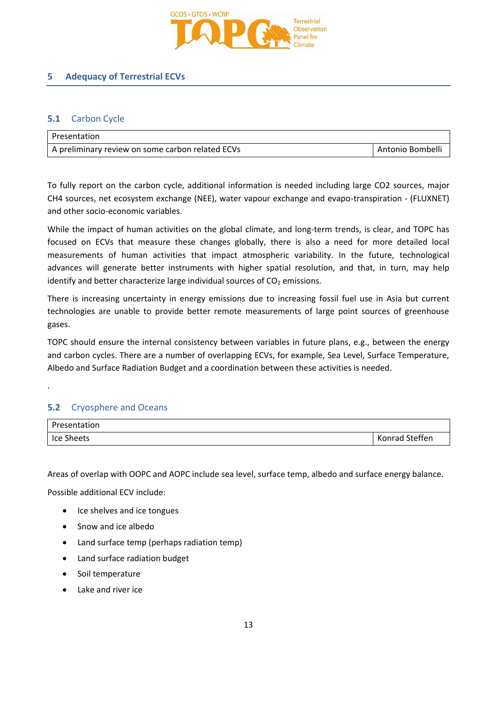

### **5 Adequacy of Terrestrial ECVs**

### **5.1** Carbon Cycle

| l Presentation                                   |                  |
|--------------------------------------------------|------------------|
| A preliminary review on some carbon related ECVs | Antonio Bombelli |

To fully report on the carbon cycle, additional information is needed including large CO2 sources, major CH4 sources, net ecosystem exchange (NEE), water vapour exchange and evapo-transpiration - (FLUXNET) and other socio-economic variables.

While the impact of human activities on the global climate, and long-term trends, is clear, and TOPC has focused on ECVs that measure these changes globally, there is also a need for more detailed local measurements of human activities that impact atmospheric variability. In the future, technological advances will generate better instruments with higher spatial resolution, and that, in turn, may help identify and better characterize large individual sources of  $CO<sub>2</sub>$  emissions.

There is increasing uncertainty in energy emissions due to increasing fossil fuel use in Asia but current technologies are unable to provide better remote measurements of large point sources of greenhouse gases.

TOPC should ensure the internal consistency between variables in future plans, e.g., between the energy and carbon cycles. There are a number of overlapping ECVs, for example, Sea Level, Surface Temperature, Albedo and Surface Radiation Budget and a coordination between these activities is needed.

### **5.2** Cryosphere and Oceans

.

| Presentation |                |
|--------------|----------------|
| Ice Sheets   | Konrad Steffen |

Areas of overlap with OOPC and AOPC include sea level, surface temp, albedo and surface energy balance.

Possible additional ECV include:

- Ice shelves and ice tongues
- Snow and ice albedo
- Land surface temp (perhaps radiation temp)
- Land surface radiation budget
- Soil temperature
- Lake and river ice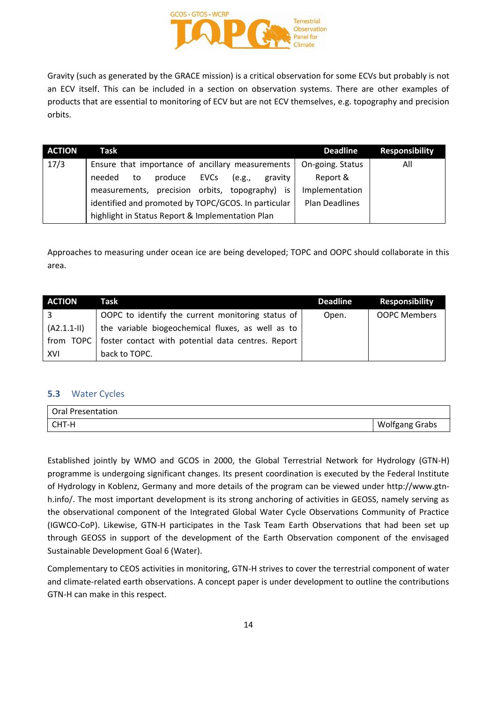

Gravity (such as generated by the GRACE mission) is a critical observation for some ECVs but probably is not an ECV itself. This can be included in a section on observation systems. There are other examples of products that are essential to monitoring of ECV but are not ECV themselves, e.g. topography and precision orbits.

| <b>ACTION</b> | Task                                                                | <b>Responsibility</b><br><b>Deadline</b> |
|---------------|---------------------------------------------------------------------|------------------------------------------|
| 17/3          | Ensure that importance of ancillary measurements   On-going. Status | All                                      |
|               | produce<br><b>EVCs</b><br>(e.g.,<br>needed<br>to<br>gravity         | Report &                                 |
|               | measurements, precision orbits, topography) is                      | Implementation                           |
|               | identified and promoted by TOPC/GCOS. In particular                 | Plan Deadlines                           |
|               | highlight in Status Report & Implementation Plan                    |                                          |

Approaches to measuring under ocean ice are being developed; TOPC and OOPC should collaborate in this area.

| <b>ACTION</b> | Task                                                           | <b>Deadline</b> | <b>Responsibility</b> |
|---------------|----------------------------------------------------------------|-----------------|-----------------------|
|               | OOPC to identify the current monitoring status of              | Open.           | <b>OOPC Members</b>   |
| $(A2.1.1-II)$ | the variable biogeochemical fluxes, as well as to              |                 |                       |
|               | from TOPC   foster contact with potential data centres. Report |                 |                       |
| XVI           | back to TOPC.                                                  |                 |                       |

### **5.3** Water Cycles

| <b>Oral Presentation</b> |                       |
|--------------------------|-----------------------|
| CHT-H                    | <b>Wolfgang Grabs</b> |

Established jointly by WMO and GCOS in 2000, the Global Terrestrial Network for Hydrology (GTN-H) programme is undergoing significant changes. Its present coordination is executed by the Federal Institute of Hydrology in Koblenz, Germany and more details of the program can be viewed under http://www.gtnh.info/. The most important development is its strong anchoring of activities in GEOSS, namely serving as the observational component of the Integrated Global Water Cycle Observations Community of Practice (IGWCO-CoP). Likewise, GTN-H participates in the Task Team Earth Observations that had been set up through GEOSS in support of the development of the Earth Observation component of the envisaged Sustainable Development Goal 6 (Water).

Complementary to CEOS activities in monitoring, GTN-H strives to cover the terrestrial component of water and climate-related earth observations. A concept paper is under development to outline the contributions GTN-H can make in this respect.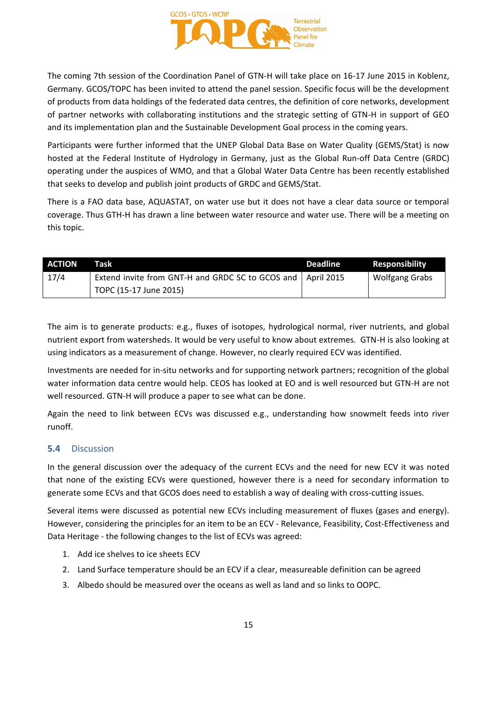

The coming 7th session of the Coordination Panel of GTN-H will take place on 16-17 June 2015 in Koblenz, Germany. GCOS/TOPC has been invited to attend the panel session. Specific focus will be the development of products from data holdings of the federated data centres, the definition of core networks, development of partner networks with collaborating institutions and the strategic setting of GTN-H in support of GEO and its implementation plan and the Sustainable Development Goal process in the coming years.

Participants were further informed that the UNEP Global Data Base on Water Quality (GEMS/Stat) is now hosted at the Federal Institute of Hydrology in Germany, just as the Global Run-off Data Centre (GRDC) operating under the auspices of WMO, and that a Global Water Data Centre has been recently established that seeks to develop and publish joint products of GRDC and GEMS/Stat.

There is a FAO data base, AQUASTAT, on water use but it does not have a clear data source or temporal coverage. Thus GTH-H has drawn a line between water resource and water use. There will be a meeting on this topic.

| <b>ACTION</b> | Task                                                          | <b>Deadline</b> | <b>Responsibility</b> |
|---------------|---------------------------------------------------------------|-----------------|-----------------------|
| 17/4          | Extend invite from GNT-H and GRDC SC to GCOS and   April 2015 |                 | <b>Wolfgang Grabs</b> |
|               | TOPC (15-17 June 2015)                                        |                 |                       |

The aim is to generate products: e.g., fluxes of isotopes, hydrological normal, river nutrients, and global nutrient export from watersheds. It would be very useful to know about extremes. GTN-H is also looking at using indicators as a measurement of change. However, no clearly required ECV was identified.

Investments are needed for in-situ networks and for supporting network partners; recognition of the global water information data centre would help. CEOS has looked at EO and is well resourced but GTN-H are not well resourced. GTN-H will produce a paper to see what can be done.

Again the need to link between ECVs was discussed e.g., understanding how snowmelt feeds into river runoff.

### **5.4** Discussion

In the general discussion over the adequacy of the current ECVs and the need for new ECV it was noted that none of the existing ECVs were questioned, however there is a need for secondary information to generate some ECVs and that GCOS does need to establish a way of dealing with cross-cutting issues.

Several items were discussed as potential new ECVs including measurement of fluxes (gases and energy). However, considering the principles for an item to be an ECV - Relevance, Feasibility, Cost-Effectiveness and Data Heritage - the following changes to the list of ECVs was agreed:

- 1. Add ice shelves to ice sheets ECV
- 2. Land Surface temperature should be an ECV if a clear, measureable definition can be agreed
- 3. Albedo should be measured over the oceans as well as land and so links to OOPC.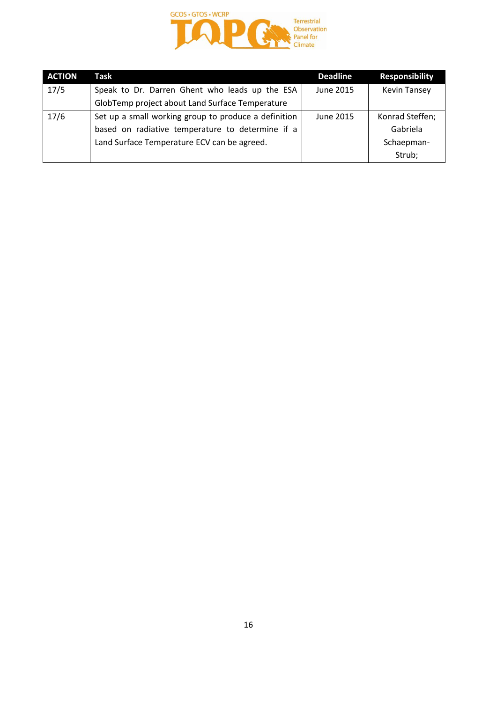

| <b>ACTION</b> | Task                                                 | <b>Deadline</b> | <b>Responsibility</b> |
|---------------|------------------------------------------------------|-----------------|-----------------------|
| 17/5          | Speak to Dr. Darren Ghent who leads up the ESA       | June 2015       | <b>Kevin Tansey</b>   |
|               | GlobTemp project about Land Surface Temperature      |                 |                       |
| 17/6          | Set up a small working group to produce a definition | June 2015       | Konrad Steffen;       |
|               | based on radiative temperature to determine if a     |                 | Gabriela              |
|               | Land Surface Temperature ECV can be agreed.          |                 | Schaepman-            |
|               |                                                      |                 | Strub;                |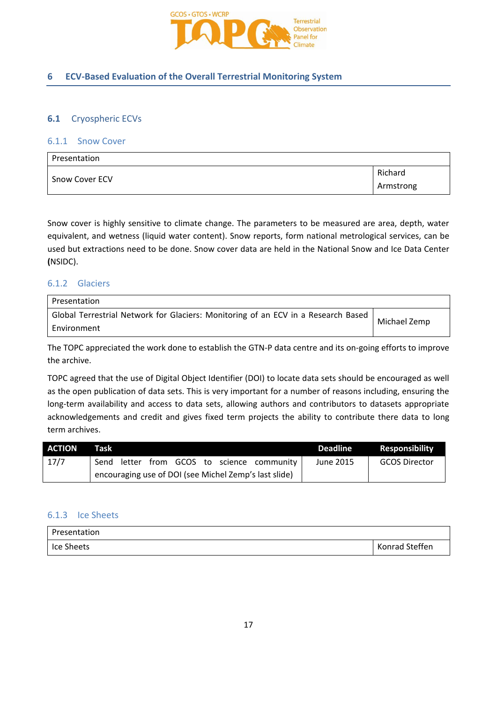

### **6 ECV-Based Evaluation of the Overall Terrestrial Monitoring System**

### **6.1** Cryospheric ECVs

### 6.1.1 Snow Cover

| Presentation          |           |
|-----------------------|-----------|
| <b>Snow Cover ECV</b> | Richard   |
|                       | Armstrong |

Snow cover is highly sensitive to climate change. The parameters to be measured are area, depth, water equivalent, and wetness (liquid water content). Snow reports, form national metrological services, can be used but extractions need to be done. Snow cover data are held in the National Snow and Ice Data Center **(**NSIDC).

### 6.1.2 Glaciers

| <b>Presentation</b>                                                                                |              |
|----------------------------------------------------------------------------------------------------|--------------|
| Global Terrestrial Network for Glaciers: Monitoring of an ECV in a Research Based  <br>Environment | Michael Zemp |

The TOPC appreciated the work done to establish the GTN-P data centre and its on-going efforts to improve the archive.

TOPC agreed that the use of Digital Object Identifier (DOI) to locate data sets should be encouraged as well as the open publication of data sets. This is very important for a number of reasons including, ensuring the long-term availability and access to data sets, allowing authors and contributors to datasets appropriate acknowledgements and credit and gives fixed term projects the ability to contribute there data to long term archives.

| <b>ACTION</b> | Task                                                  |  |  |  |  |  |                                       | <b>Deadline</b> | <b>Responsibility</b> |
|---------------|-------------------------------------------------------|--|--|--|--|--|---------------------------------------|-----------------|-----------------------|
| 17/7          | Send                                                  |  |  |  |  |  | letter from GCOS to science community | June 2015       | <b>GCOS Director</b>  |
|               | encouraging use of DOI (see Michel Zemp's last slide) |  |  |  |  |  |                                       |                 |                       |

### 6.1.3 Ice Sheets

| Presentation |                |
|--------------|----------------|
| l Ice Sheets | Konrad Steffen |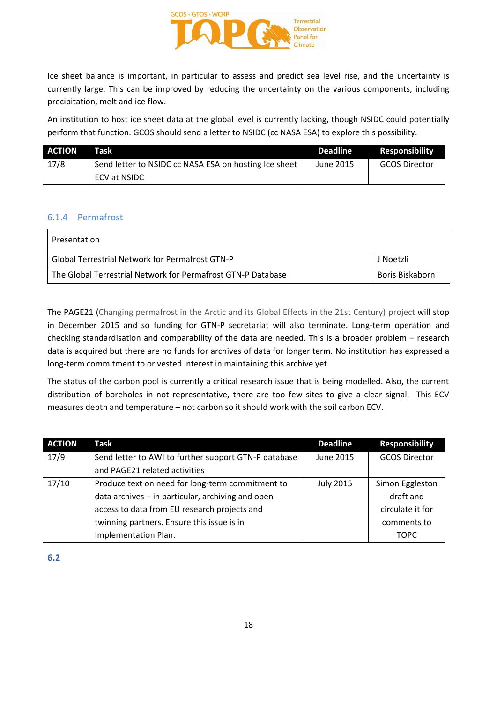

Ice sheet balance is important, in particular to assess and predict sea level rise, and the uncertainty is currently large. This can be improved by reducing the uncertainty on the various components, including precipitation, melt and ice flow.

An institution to host ice sheet data at the global level is currently lacking, though NSIDC could potentially perform that function. GCOS should send a letter to NSIDC (cc NASA ESA) to explore this possibility.

| <b>ACTION</b> | Task                                                  | <b>Deadline</b> | <b>Responsibility</b> |
|---------------|-------------------------------------------------------|-----------------|-----------------------|
| 17/8          | Send letter to NSIDC cc NASA ESA on hosting Ice sheet | June 2015       | <b>GCOS Director</b>  |
|               | ECV at NSIDC                                          |                 |                       |

### 6.1.4 Permafrost

| Presentation                                                 |                 |
|--------------------------------------------------------------|-----------------|
| Global Terrestrial Network for Permafrost GTN-P              | J Noetzli       |
| The Global Terrestrial Network for Permafrost GTN-P Database | Boris Biskaborn |

The PAGE21 (Changing permafrost in the Arctic and its Global Effects in the 21st Century) project will stop in December 2015 and so funding for GTN-P secretariat will also terminate. Long-term operation and checking standardisation and comparability of the data are needed. This is a broader problem – research data is acquired but there are no funds for archives of data for longer term. No institution has expressed a long-term commitment to or vested interest in maintaining this archive yet.

The status of the carbon pool is currently a critical research issue that is being modelled. Also, the current distribution of boreholes in not representative, there are too few sites to give a clear signal. This ECV measures depth and temperature – not carbon so it should work with the soil carbon ECV.

| <b>ACTION</b> | Task                                                 | <b>Deadline</b>  | <b>Responsibility</b> |
|---------------|------------------------------------------------------|------------------|-----------------------|
| 17/9          | Send letter to AWI to further support GTN-P database | June 2015        | <b>GCOS Director</b>  |
|               | and PAGE21 related activities                        |                  |                       |
| 17/10         | Produce text on need for long-term commitment to     | <b>July 2015</b> | Simon Eggleston       |
|               | data archives - in particular, archiving and open    |                  | draft and             |
|               | access to data from EU research projects and         |                  | circulate it for      |
|               | twinning partners. Ensure this issue is in           |                  | comments to           |
|               | Implementation Plan.                                 |                  | <b>TOPC</b>           |

**6.2**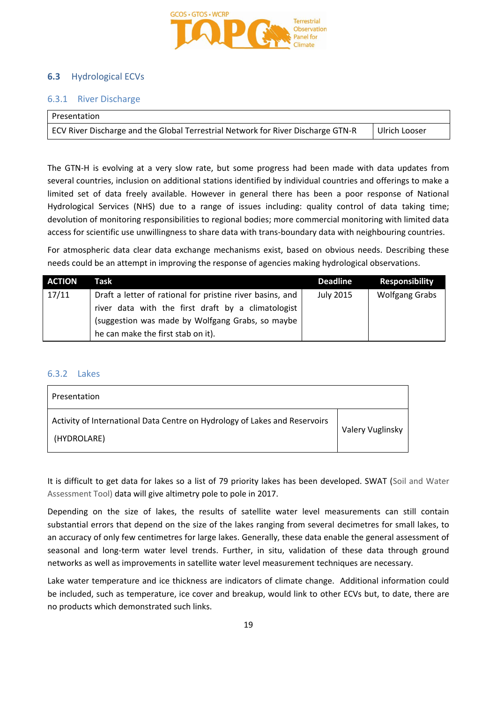

### **6.3** Hydrological ECVs

### 6.3.1 River Discharge

| Presentation                                                                     |               |
|----------------------------------------------------------------------------------|---------------|
| ECV River Discharge and the Global Terrestrial Network for River Discharge GTN-R | Ulrich Looser |

The GTN-H is evolving at a very slow rate, but some progress had been made with data updates from several countries, inclusion on additional stations identified by individual countries and offerings to make a limited set of data freely available. However in general there has been a poor response of National Hydrological Services (NHS) due to a range of issues including: quality control of data taking time; devolution of monitoring responsibilities to regional bodies; more commercial monitoring with limited data access for scientific use unwillingness to share data with trans-boundary data with neighbouring countries.

For atmospheric data clear data exchange mechanisms exist, based on obvious needs. Describing these needs could be an attempt in improving the response of agencies making hydrological observations.

| <b>ACTION</b> | Task                                                      | <b>Deadline</b> | <b>Responsibility</b> |
|---------------|-----------------------------------------------------------|-----------------|-----------------------|
| 17/11         | Draft a letter of rational for pristine river basins, and | July 2015       | <b>Wolfgang Grabs</b> |
|               | river data with the first draft by a climatologist        |                 |                       |
|               | (suggestion was made by Wolfgang Grabs, so maybe          |                 |                       |
|               | he can make the first stab on it).                        |                 |                       |

### 6.3.2 Lakes

| Presentation                                                                              |                  |
|-------------------------------------------------------------------------------------------|------------------|
| Activity of International Data Centre on Hydrology of Lakes and Reservoirs<br>(HYDROLARE) | Valery Vuglinsky |

It is difficult to get data for lakes so a list of 79 priority lakes has been developed. SWAT (Soil and Water Assessment Tool) data will give altimetry pole to pole in 2017.

Depending on the size of lakes, the results of satellite water level measurements can still contain substantial errors that depend on the size of the lakes ranging from several decimetres for small lakes, to an accuracy of only few centimetres for large lakes. Generally, these data enable the general assessment of seasonal and long-term water level trends. Further, in situ, validation of these data through ground networks as well as improvements in satellite water level measurement techniques are necessary.

Lake water temperature and ice thickness are indicators of climate change. Additional information could be included, such as temperature, ice cover and breakup, would link to other ECVs but, to date, there are no products which demonstrated such links.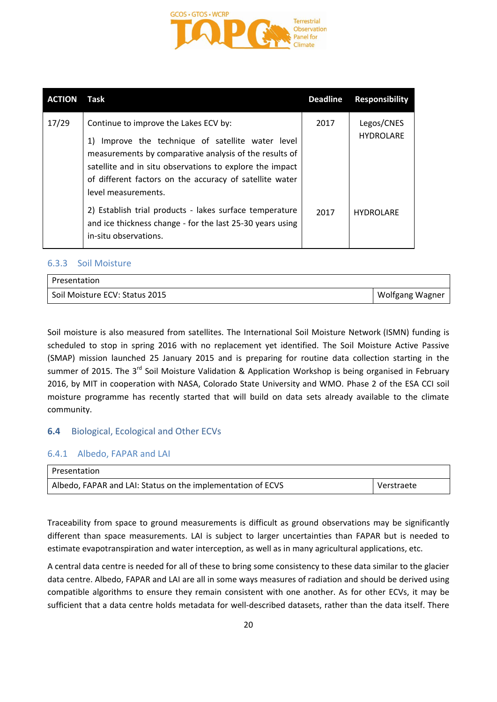

| <b>ACTION</b> | Task                                                                                                                                                                                                                                                                                                  | <b>Deadline</b> | <b>Responsibility</b>          |
|---------------|-------------------------------------------------------------------------------------------------------------------------------------------------------------------------------------------------------------------------------------------------------------------------------------------------------|-----------------|--------------------------------|
| 17/29         | Continue to improve the Lakes ECV by:<br>Improve the technique of satellite water level<br>1)<br>measurements by comparative analysis of the results of<br>satellite and in situ observations to explore the impact<br>of different factors on the accuracy of satellite water<br>level measurements. | 2017            | Legos/CNES<br><b>HYDROLARE</b> |
|               | 2) Establish trial products - lakes surface temperature<br>and ice thickness change - for the last 25-30 years using<br>in-situ observations.                                                                                                                                                         | 2017            | <b>HYDROLARE</b>               |

### 6.3.3 Soil Moisture

| l Presentation                 |                 |
|--------------------------------|-----------------|
| Soil Moisture ECV: Status 2015 | Wolfgang Wagner |

Soil moisture is also measured from satellites. The International Soil Moisture Network (ISMN) funding is scheduled to stop in spring 2016 with no replacement yet identified. The Soil Moisture Active Passive (SMAP) mission launched 25 January 2015 and is preparing for routine data collection starting in the summer of 2015. The 3<sup>rd</sup> Soil Moisture Validation & Application Workshop is being organised in February 2016, by MIT in cooperation with NASA, Colorado State University and WMO. Phase 2 of the ESA CCI soil moisture programme has recently started that will build on data sets already available to the climate community.

### **6.4** Biological, Ecological and Other ECVs

### 6.4.1 Albedo, FAPAR and LAI

| Presentation                                                |            |
|-------------------------------------------------------------|------------|
| Albedo, FAPAR and LAI: Status on the implementation of ECVS | Verstraete |

Traceability from space to ground measurements is difficult as ground observations may be significantly different than space measurements. LAI is subject to larger uncertainties than FAPAR but is needed to estimate evapotranspiration and water interception, as well as in many agricultural applications, etc.

A central data centre is needed for all of these to bring some consistency to these data similar to the glacier data centre. Albedo, FAPAR and LAI are all in some ways measures of radiation and should be derived using compatible algorithms to ensure they remain consistent with one another. As for other ECVs, it may be sufficient that a data centre holds metadata for well-described datasets, rather than the data itself. There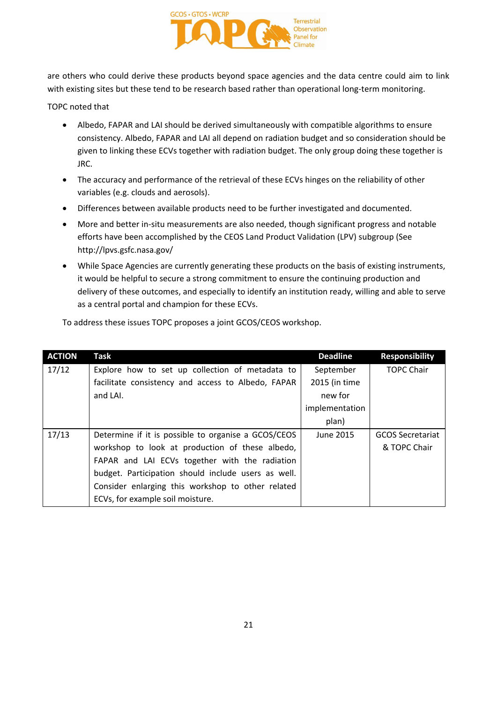

are others who could derive these products beyond space agencies and the data centre could aim to link with existing sites but these tend to be research based rather than operational long-term monitoring.

TOPC noted that

- Albedo, FAPAR and LAI should be derived simultaneously with compatible algorithms to ensure consistency. Albedo, FAPAR and LAI all depend on radiation budget and so consideration should be given to linking these ECVs together with radiation budget. The only group doing these together is JRC.
- The accuracy and performance of the retrieval of these ECVs hinges on the reliability of other variables (e.g. clouds and aerosols).
- Differences between available products need to be further investigated and documented.
- More and better in-situ measurements are also needed, though significant progress and notable efforts have been accomplished by the CEOS Land Product Validation (LPV) subgroup (See http://lpvs.gsfc.nasa.gov/
- While Space Agencies are currently generating these products on the basis of existing instruments, it would be helpful to secure a strong commitment to ensure the continuing production and delivery of these outcomes, and especially to identify an institution ready, willing and able to serve as a central portal and champion for these ECVs.

| <b>ACTION</b> | Task                                                | <b>Deadline</b> | <b>Responsibility</b>   |
|---------------|-----------------------------------------------------|-----------------|-------------------------|
| 17/12         | Explore how to set up collection of metadata to     | September       | <b>TOPC Chair</b>       |
|               | facilitate consistency and access to Albedo, FAPAR  | 2015 (in time   |                         |
|               | and LAI.                                            | new for         |                         |
|               |                                                     | implementation  |                         |
|               |                                                     | plan)           |                         |
| 17/13         | Determine if it is possible to organise a GCOS/CEOS | June 2015       | <b>GCOS Secretariat</b> |
|               | workshop to look at production of these albedo,     |                 | & TOPC Chair            |
|               | FAPAR and LAI ECVs together with the radiation      |                 |                         |
|               | budget. Participation should include users as well. |                 |                         |
|               | Consider enlarging this workshop to other related   |                 |                         |
|               | ECVs, for example soil moisture.                    |                 |                         |

To address these issues TOPC proposes a joint GCOS/CEOS workshop.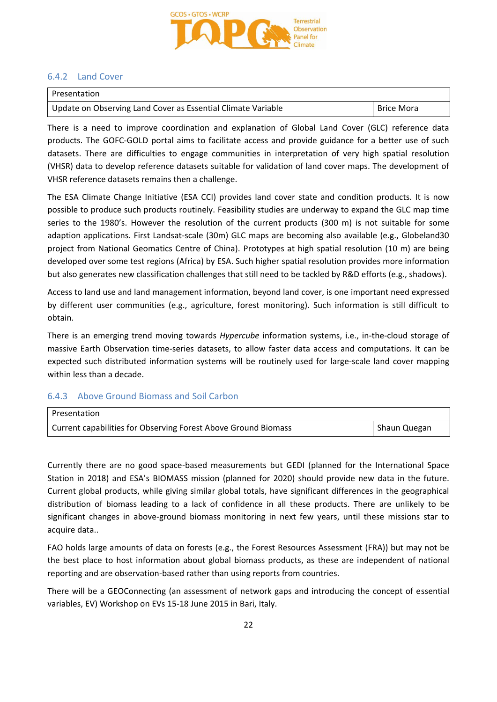

### 6.4.2 Land Cover

| l Presentation                                               |                   |
|--------------------------------------------------------------|-------------------|
| Update on Observing Land Cover as Essential Climate Variable | <b>Brice Mora</b> |

There is a need to improve coordination and explanation of Global Land Cover (GLC) reference data products. The GOFC-GOLD portal aims to facilitate access and provide guidance for a better use of such datasets. There are difficulties to engage communities in interpretation of very high spatial resolution (VHSR) data to develop reference datasets suitable for validation of land cover maps. The development of VHSR reference datasets remains then a challenge.

The ESA Climate Change Initiative (ESA CCI) provides land cover state and condition products. It is now possible to produce such products routinely. Feasibility studies are underway to expand the GLC map time series to the 1980's. However the resolution of the current products (300 m) is not suitable for some adaption applications. First Landsat-scale (30m) GLC maps are becoming also available (e.g., Globeland30 project from National Geomatics Centre of China). Prototypes at high spatial resolution (10 m) are being developed over some test regions (Africa) by ESA. Such higher spatial resolution provides more information but also generates new classification challenges that still need to be tackled by R&D efforts (e.g., shadows).

Access to land use and land management information, beyond land cover, is one important need expressed by different user communities (e.g., agriculture, forest monitoring). Such information is still difficult to obtain.

There is an emerging trend moving towards *Hypercube* information systems, i.e., in-the-cloud storage of massive Earth Observation time-series datasets, to allow faster data access and computations. It can be expected such distributed information systems will be routinely used for large-scale land cover mapping within less than a decade.

### 6.4.3 Above Ground Biomass and Soil Carbon

| Presentation                                                   |              |
|----------------------------------------------------------------|--------------|
| Current capabilities for Observing Forest Above Ground Biomass | Shaun Quegan |

Currently there are no good space-based measurements but GEDI (planned for the International Space Station in 2018) and ESA's BIOMASS mission (planned for 2020) should provide new data in the future. Current global products, while giving similar global totals, have significant differences in the geographical distribution of biomass leading to a lack of confidence in all these products. There are unlikely to be significant changes in above-ground biomass monitoring in next few years, until these missions star to acquire data..

FAO holds large amounts of data on forests (e.g., the Forest Resources Assessment (FRA)) but may not be the best place to host information about global biomass products, as these are independent of national reporting and are observation-based rather than using reports from countries.

There will be a GEOConnecting (an assessment of network gaps and introducing the concept of essential variables, EV) Workshop on EVs 15-18 June 2015 in Bari, Italy.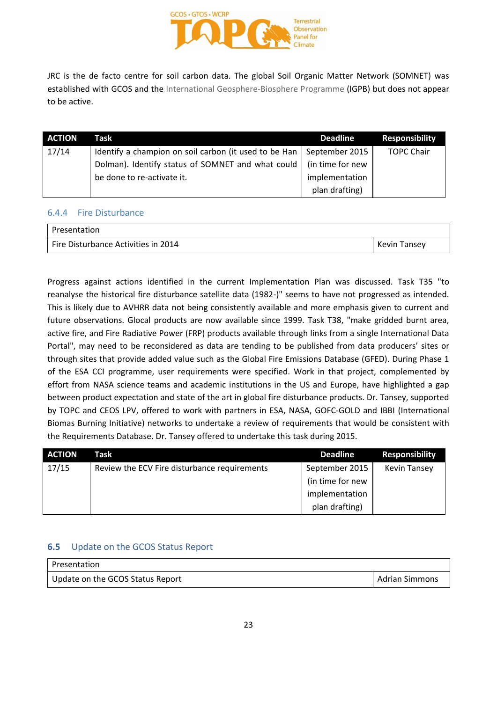

JRC is the de facto centre for soil carbon data. The global Soil Organic Matter Network (SOMNET) was established with GCOS and the International Geosphere-Biosphere Programme (IGPB) but does not appear to be active.

| <b>ACTION</b> | Task                                                  | <b>Deadline</b>  | <b>Responsibility</b> |
|---------------|-------------------------------------------------------|------------------|-----------------------|
| 17/14         | Identify a champion on soil carbon (it used to be Han | September 2015   | <b>TOPC Chair</b>     |
|               | Dolman). Identify status of SOMNET and what could     | (in time for new |                       |
|               | be done to re-activate it.                            | implementation   |                       |
|               |                                                       | plan drafting)   |                       |

### 6.4.4 Fire Disturbance

| Presentation                        |                     |
|-------------------------------------|---------------------|
| Fire Disturbance Activities in 2014 | <b>Kevin Tansey</b> |

Progress against actions identified in the current Implementation Plan was discussed. Task T35 "to reanalyse the historical fire disturbance satellite data (1982-)" seems to have not progressed as intended. This is likely due to AVHRR data not being consistently available and more emphasis given to current and future observations. Glocal products are now available since 1999. Task T38, "make gridded burnt area, active fire, and Fire Radiative Power (FRP) products available through links from a single International Data Portal", may need to be reconsidered as data are tending to be published from data producers' sites or through sites that provide added value such as the Global Fire Emissions Database (GFED). During Phase 1 of the ESA CCI programme, user requirements were specified. Work in that project, complemented by effort from NASA science teams and academic institutions in the US and Europe, have highlighted a gap between product expectation and state of the art in global fire disturbance products. Dr. Tansey, supported by TOPC and CEOS LPV, offered to work with partners in ESA, NASA, GOFC-GOLD and IBBI (International Biomas Burning Initiative) networks to undertake a review of requirements that would be consistent with the Requirements Database. Dr. Tansey offered to undertake this task during 2015.

| <b>ACTION</b> | Task                                         | <b>Deadline</b>  | <b>Responsibility</b> |
|---------------|----------------------------------------------|------------------|-----------------------|
| 17/15         | Review the ECV Fire disturbance requirements | September 2015   | <b>Kevin Tansey</b>   |
|               |                                              | (in time for new |                       |
|               |                                              | implementation   |                       |
|               |                                              | plan drafting)   |                       |

### **6.5** Update on the GCOS Status Report

| l Presentation                   |                |
|----------------------------------|----------------|
| Update on the GCOS Status Report | Adrian Simmons |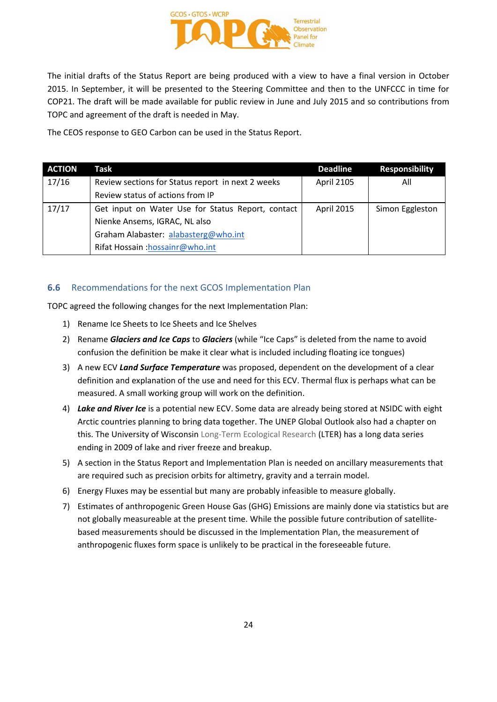

The initial drafts of the Status Report are being produced with a view to have a final version in October 2015. In September, it will be presented to the Steering Committee and then to the UNFCCC in time for COP21. The draft will be made available for public review in June and July 2015 and so contributions from TOPC and agreement of the draft is needed in May.

The CEOS response to GEO Carbon can be used in the Status Report.

| <b>ACTION</b> | Task                                              | <b>Deadline</b> | <b>Responsibility</b> |
|---------------|---------------------------------------------------|-----------------|-----------------------|
| 17/16         | Review sections for Status report in next 2 weeks | April 2105      | All                   |
|               | Review status of actions from IP                  |                 |                       |
| 17/17         | Get input on Water Use for Status Report, contact | April 2015      | Simon Eggleston       |
|               | Nienke Ansems, IGRAC, NL also                     |                 |                       |
|               | Graham Alabaster: alabasterg@who.int              |                 |                       |
|               | Rifat Hossain: hossainr@who.int                   |                 |                       |

### **6.6** Recommendations for the next GCOS Implementation Plan

TOPC agreed the following changes for the next Implementation Plan:

- 1) Rename Ice Sheets to Ice Sheets and Ice Shelves
- 2) Rename *Glaciers and Ice Caps* to *Glaciers* (while "Ice Caps" is deleted from the name to avoid confusion the definition be make it clear what is included including floating ice tongues)
- 3) A new ECV *Land Surface Temperature* was proposed, dependent on the development of a clear definition and explanation of the use and need for this ECV. Thermal flux is perhaps what can be measured. A small working group will work on the definition.
- 4) *Lake and River Ice* is a potential new ECV. Some data are already being stored at NSIDC with eight Arctic countries planning to bring data together. The UNEP Global Outlook also had a chapter on this. The University of Wisconsin Long-Term Ecological Research (LTER) has a long data series ending in 2009 of lake and river freeze and breakup.
- 5) A section in the Status Report and Implementation Plan is needed on ancillary measurements that are required such as precision orbits for altimetry, gravity and a terrain model.
- 6) Energy Fluxes may be essential but many are probably infeasible to measure globally.
- 7) Estimates of anthropogenic Green House Gas (GHG) Emissions are mainly done via statistics but are not globally measureable at the present time. While the possible future contribution of satellitebased measurements should be discussed in the Implementation Plan, the measurement of anthropogenic fluxes form space is unlikely to be practical in the foreseeable future.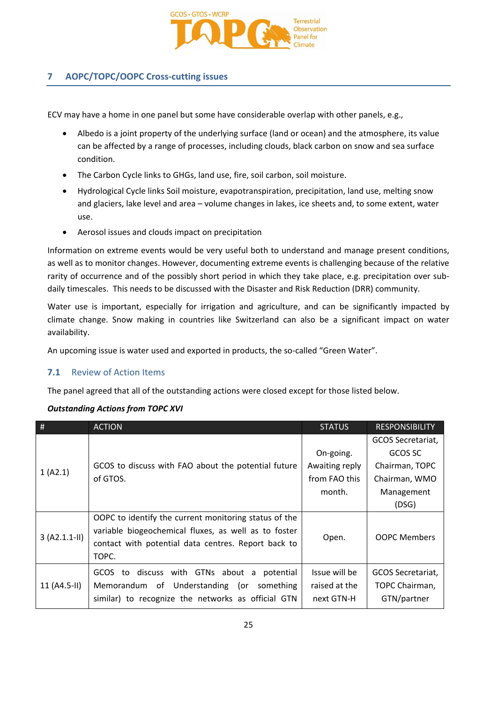

## **7 AOPC/TOPC/OOPC Cross-cutting issues**

ECV may have a home in one panel but some have considerable overlap with other panels, e.g.,

- Albedo is a joint property of the underlying surface (land or ocean) and the atmosphere, its value can be affected by a range of processes, including clouds, black carbon on snow and sea surface condition.
- The Carbon Cycle links to GHGs, land use, fire, soil carbon, soil moisture.
- Hydrological Cycle links Soil moisture, evapotranspiration, precipitation, land use, melting snow and glaciers, lake level and area – volume changes in lakes, ice sheets and, to some extent, water use.
- Aerosol issues and clouds impact on precipitation

Information on extreme events would be very useful both to understand and manage present conditions, as well as to monitor changes. However, documenting extreme events is challenging because of the relative rarity of occurrence and of the possibly short period in which they take place, e.g. precipitation over subdaily timescales. This needs to be discussed with the Disaster and Risk Reduction (DRR) community.

Water use is important, especially for irrigation and agriculture, and can be significantly impacted by climate change. Snow making in countries like Switzerland can also be a significant impact on water availability.

An upcoming issue is water used and exported in products, the so-called "Green Water".

### **7.1** Review of Action Items

The panel agreed that all of the outstanding actions were closed except for those listed below.

### *Outstanding Actions from TOPC XVI*

| #               | <b>ACTION</b>                                         | <b>STATUS</b>  | <b>RESPONSIBILITY</b> |
|-----------------|-------------------------------------------------------|----------------|-----------------------|
|                 |                                                       |                | GCOS Secretariat,     |
|                 |                                                       | On-going.      | GCOS SC               |
| 1 (A2.1)        | GCOS to discuss with FAO about the potential future   | Awaiting reply | Chairman, TOPC        |
|                 | of GTOS.                                              | from FAO this  | Chairman, WMO         |
|                 |                                                       | month.         | Management            |
|                 |                                                       |                | (DSG)                 |
|                 | OOPC to identify the current monitoring status of the |                |                       |
| $3 (A2.1.1-II)$ | variable biogeochemical fluxes, as well as to foster  | Open.          | <b>OOPC Members</b>   |
|                 | contact with potential data centres. Report back to   |                |                       |
|                 | TOPC.                                                 |                |                       |
|                 | GCOS to discuss with GTNs about a<br>potential        | Issue will be  | GCOS Secretariat,     |
| $11 (A4.5-H)$   | Memorandum of Understanding (or<br>something          | raised at the  | TOPC Chairman,        |
|                 | similar) to recognize the networks as official GTN    | next GTN-H     | GTN/partner           |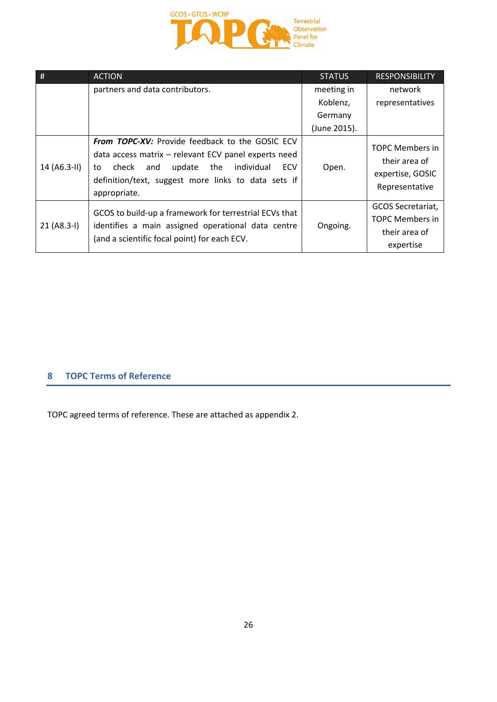

| #             | <b>ACTION</b>                                                                                                                                                                                                                                     | <b>STATUS</b> | <b>RESPONSIBILITY</b>                                                         |
|---------------|---------------------------------------------------------------------------------------------------------------------------------------------------------------------------------------------------------------------------------------------------|---------------|-------------------------------------------------------------------------------|
|               | partners and data contributors.                                                                                                                                                                                                                   | meeting in    | network                                                                       |
|               |                                                                                                                                                                                                                                                   | Koblenz,      | representatives                                                               |
|               |                                                                                                                                                                                                                                                   | Germany       |                                                                               |
|               |                                                                                                                                                                                                                                                   | (June 2015).  |                                                                               |
| 14 (A6.3-II)  | <b>From TOPC-XV:</b> Provide feedback to the GOSIC ECV<br>data access matrix - relevant ECV panel experts need<br>update<br>the<br>individual<br>ECV<br>check<br>and<br>to<br>definition/text, suggest more links to data sets if<br>appropriate. | Open.         | <b>TOPC Members in</b><br>their area of<br>expertise, GOSIC<br>Representative |
| $21 (A8.3-I)$ | GCOS to build-up a framework for terrestrial ECVs that<br>identifies a main assigned operational data centre<br>(and a scientific focal point) for each ECV.                                                                                      | Ongoing.      | GCOS Secretariat,<br>TOPC Members in<br>their area of<br>expertise            |

## **8 TOPC Terms of Reference**

TOPC agreed terms of reference. These are attached as appendix 2.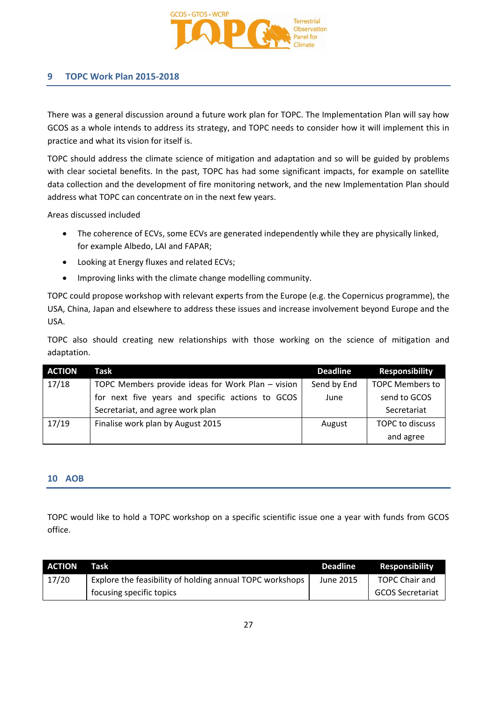

### **9 TOPC Work Plan 2015-2018**

There was a general discussion around a future work plan for TOPC. The Implementation Plan will say how GCOS as a whole intends to address its strategy, and TOPC needs to consider how it will implement this in practice and what its vision for itself is.

TOPC should address the climate science of mitigation and adaptation and so will be guided by problems with clear societal benefits. In the past, TOPC has had some significant impacts, for example on satellite data collection and the development of fire monitoring network, and the new Implementation Plan should address what TOPC can concentrate on in the next few years.

Areas discussed included

- The coherence of ECVs, some ECVs are generated independently while they are physically linked, for example Albedo, LAI and FAPAR;
- Looking at Energy fluxes and related ECVs;
- Improving links with the climate change modelling community.

TOPC could propose workshop with relevant experts from the Europe (e.g. the Copernicus programme), the USA, China, Japan and elsewhere to address these issues and increase involvement beyond Europe and the USA.

TOPC also should creating new relationships with those working on the science of mitigation and adaptation.

| <b>ACTION</b> | Task                                              | <b>Deadline</b> | <b>Responsibility</b>  |
|---------------|---------------------------------------------------|-----------------|------------------------|
| 17/18         | TOPC Members provide ideas for Work Plan - vision | Send by End     | <b>TOPC Members to</b> |
|               | for next five years and specific actions to GCOS  | June            | send to GCOS           |
|               | Secretariat, and agree work plan                  |                 | Secretariat            |
| 17/19         | Finalise work plan by August 2015                 | August          | TOPC to discuss        |
|               |                                                   |                 | and agree              |

### **10 AOB**

TOPC would like to hold a TOPC workshop on a specific scientific issue one a year with funds from GCOS office.

| <b>ACTION</b> | Task                                                     | <b>Deadline</b> | Responsibility          |
|---------------|----------------------------------------------------------|-----------------|-------------------------|
| 17/20         | Explore the feasibility of holding annual TOPC workshops | June 2015       | <b>TOPC Chair and</b>   |
|               | focusing specific topics                                 |                 | <b>GCOS Secretariat</b> |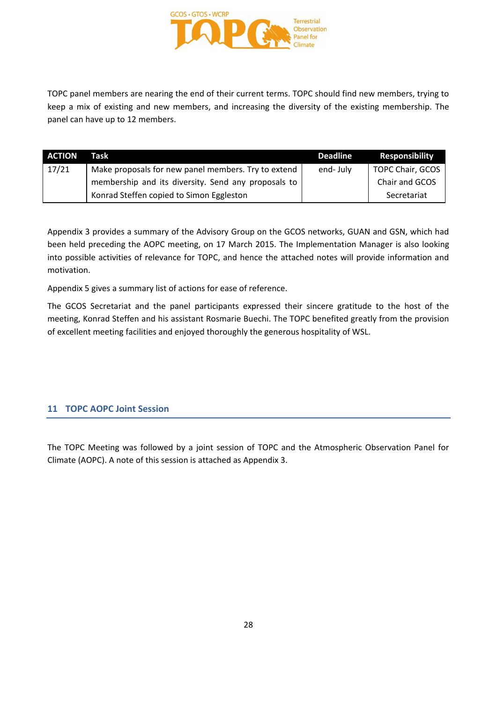

TOPC panel members are nearing the end of their current terms. TOPC should find new members, trying to keep a mix of existing and new members, and increasing the diversity of the existing membership. The panel can have up to 12 members.

| <b>ACTION</b> | Task                                                | Deadline | <b>Responsibility</b> |
|---------------|-----------------------------------------------------|----------|-----------------------|
| 17/21         | Make proposals for new panel members. Try to extend | end-July | TOPC Chair, GCOS      |
|               | membership and its diversity. Send any proposals to |          | Chair and GCOS        |
|               | Konrad Steffen copied to Simon Eggleston            |          | Secretariat           |

Appendix 3 provides a summary of the Advisory Group on the GCOS networks, GUAN and GSN, which had been held preceding the AOPC meeting, on 17 March 2015. The Implementation Manager is also looking into possible activities of relevance for TOPC, and hence the attached notes will provide information and motivation.

Appendix 5 gives a summary list of actions for ease of reference.

The GCOS Secretariat and the panel participants expressed their sincere gratitude to the host of the meeting, Konrad Steffen and his assistant Rosmarie Buechi. The TOPC benefited greatly from the provision of excellent meeting facilities and enjoyed thoroughly the generous hospitality of WSL.

### **11 TOPC AOPC Joint Session**

The TOPC Meeting was followed by a joint session of TOPC and the Atmospheric Observation Panel for Climate (AOPC). A note of this session is attached as Appendix 3.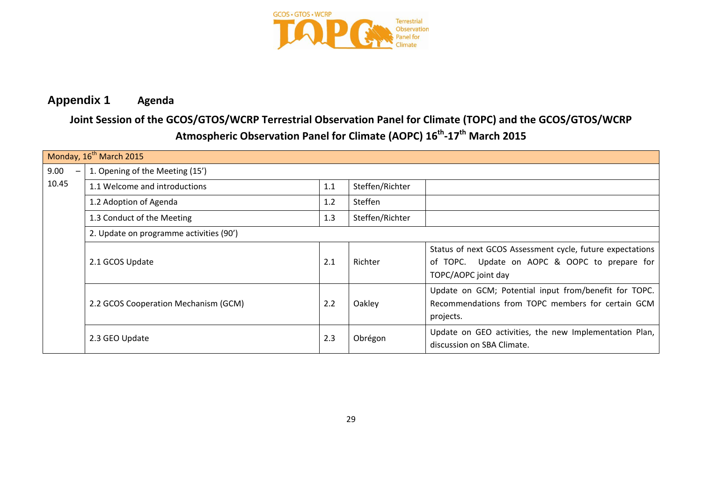

## **Appendix 1 Agenda**

## **Joint Session of the GCOS/GTOS/WCRP Terrestrial Observation Panel for Climate (TOPC) and the GCOS/GTOS/WCRP Atmospheric Observation Panel for Climate (AOPC) 16th -17th March 2015**

| Monday, 16 <sup>th</sup> March 2015 |                                         |     |                 |                                                                                                                                   |  |  |
|-------------------------------------|-----------------------------------------|-----|-----------------|-----------------------------------------------------------------------------------------------------------------------------------|--|--|
| 9.00                                | 1. Opening of the Meeting (15')         |     |                 |                                                                                                                                   |  |  |
| 10.45                               | 1.1 Welcome and introductions           | 1.1 | Steffen/Richter |                                                                                                                                   |  |  |
|                                     | 1.2 Adoption of Agenda                  | 1.2 | Steffen         |                                                                                                                                   |  |  |
|                                     | 1.3 Conduct of the Meeting              | 1.3 | Steffen/Richter |                                                                                                                                   |  |  |
|                                     | 2. Update on programme activities (90') |     |                 |                                                                                                                                   |  |  |
|                                     | 2.1 GCOS Update                         | 2.1 | Richter         | Status of next GCOS Assessment cycle, future expectations<br>of TOPC. Update on AOPC & OOPC to prepare for<br>TOPC/AOPC joint day |  |  |
|                                     | 2.2 GCOS Cooperation Mechanism (GCM)    | 2.2 | Oakley          | Update on GCM; Potential input from/benefit for TOPC.<br>Recommendations from TOPC members for certain GCM<br>projects.           |  |  |
|                                     | 2.3 GEO Update                          | 2.3 | Obrégon         | Update on GEO activities, the new Implementation Plan,<br>discussion on SBA Climate.                                              |  |  |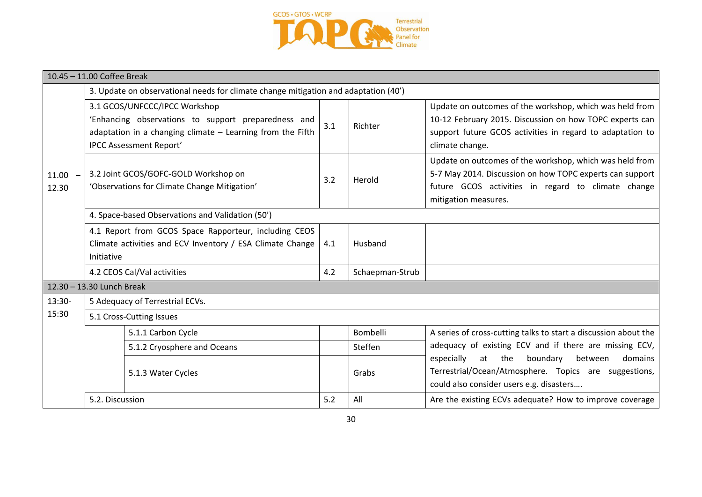

| 10.45 - 11.00 Coffee Break |                                                                                                                                                                                        |     |                 |                                                                                                                                                                                                    |  |  |
|----------------------------|----------------------------------------------------------------------------------------------------------------------------------------------------------------------------------------|-----|-----------------|----------------------------------------------------------------------------------------------------------------------------------------------------------------------------------------------------|--|--|
|                            | 3. Update on observational needs for climate change mitigation and adaptation (40')                                                                                                    |     |                 |                                                                                                                                                                                                    |  |  |
| $11.00 -$<br>12.30         | 3.1 GCOS/UNFCCC/IPCC Workshop<br>'Enhancing observations to support preparedness and<br>adaptation in a changing climate $-$ Learning from the Fifth<br><b>IPCC Assessment Report'</b> | 3.1 | Richter         | Update on outcomes of the workshop, which was held from<br>10-12 February 2015. Discussion on how TOPC experts can<br>support future GCOS activities in regard to adaptation to<br>climate change. |  |  |
|                            | 3.2 Joint GCOS/GOFC-GOLD Workshop on<br>'Observations for Climate Change Mitigation'                                                                                                   |     | Herold          | Update on outcomes of the workshop, which was held from<br>5-7 May 2014. Discussion on how TOPC experts can support<br>future GCOS activities in regard to climate change<br>mitigation measures.  |  |  |
|                            | 4. Space-based Observations and Validation (50')                                                                                                                                       |     |                 |                                                                                                                                                                                                    |  |  |
|                            | 4.1 Report from GCOS Space Rapporteur, including CEOS<br>Climate activities and ECV Inventory / ESA Climate Change<br>Initiative                                                       |     | Husband         |                                                                                                                                                                                                    |  |  |
|                            | 4.2 CEOS Cal/Val activities                                                                                                                                                            | 4.2 | Schaepman-Strub |                                                                                                                                                                                                    |  |  |
|                            | 12.30 - 13.30 Lunch Break                                                                                                                                                              |     |                 |                                                                                                                                                                                                    |  |  |
| 13:30-                     | 5 Adequacy of Terrestrial ECVs.                                                                                                                                                        |     |                 |                                                                                                                                                                                                    |  |  |
| 15:30                      | 5.1 Cross-Cutting Issues                                                                                                                                                               |     |                 |                                                                                                                                                                                                    |  |  |
|                            | 5.1.1 Carbon Cycle                                                                                                                                                                     |     | Bombelli        | A series of cross-cutting talks to start a discussion about the                                                                                                                                    |  |  |
|                            | 5.1.2 Cryosphere and Oceans                                                                                                                                                            |     | Steffen         | adequacy of existing ECV and if there are missing ECV,                                                                                                                                             |  |  |
|                            | 5.1.3 Water Cycles                                                                                                                                                                     |     | Grabs           | especially<br>boundary<br>at the<br>between<br>domains<br>Terrestrial/Ocean/Atmosphere. Topics are suggestions,<br>could also consider users e.g. disasters                                        |  |  |
|                            | 5.2. Discussion                                                                                                                                                                        | 5.2 | All             | Are the existing ECVs adequate? How to improve coverage                                                                                                                                            |  |  |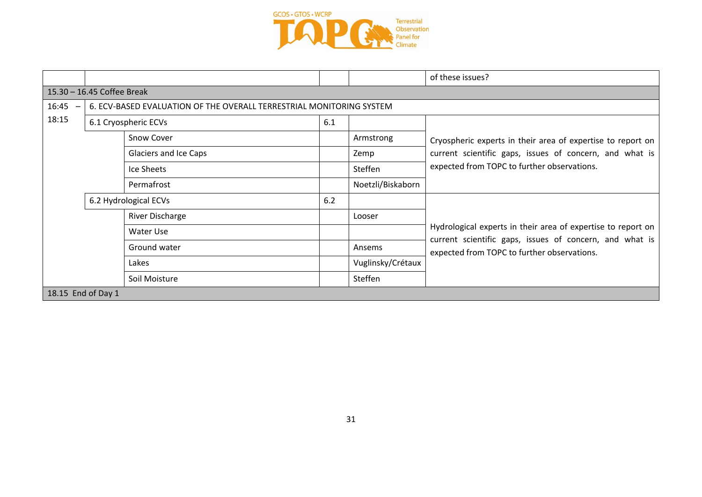

|                    |                                                                      |                       |     |                   | of these issues?                                                                                       |  |  |  |
|--------------------|----------------------------------------------------------------------|-----------------------|-----|-------------------|--------------------------------------------------------------------------------------------------------|--|--|--|
|                    | 15.30 - 16.45 Coffee Break                                           |                       |     |                   |                                                                                                        |  |  |  |
| 16:45              | 6. ECV-BASED EVALUATION OF THE OVERALL TERRESTRIAL MONITORING SYSTEM |                       |     |                   |                                                                                                        |  |  |  |
| 18:15              |                                                                      | 6.1 Cryospheric ECVs  | 6.1 |                   |                                                                                                        |  |  |  |
|                    |                                                                      | <b>Snow Cover</b>     |     | Armstrong         | Cryospheric experts in their area of expertise to report on                                            |  |  |  |
|                    |                                                                      | Glaciers and Ice Caps |     | Zemp              | current scientific gaps, issues of concern, and what is                                                |  |  |  |
|                    |                                                                      | Ice Sheets            |     | Steffen           | expected from TOPC to further observations.                                                            |  |  |  |
|                    |                                                                      | Permafrost            |     | Noetzli/Biskaborn |                                                                                                        |  |  |  |
|                    |                                                                      | 6.2 Hydrological ECVs | 6.2 |                   |                                                                                                        |  |  |  |
|                    |                                                                      | River Discharge       |     | Looser            |                                                                                                        |  |  |  |
|                    |                                                                      | Water Use             |     |                   | Hydrological experts in their area of expertise to report on                                           |  |  |  |
|                    |                                                                      | Ground water          |     | Ansems            | current scientific gaps, issues of concern, and what is<br>expected from TOPC to further observations. |  |  |  |
|                    |                                                                      | Lakes                 |     | Vuglinsky/Crétaux |                                                                                                        |  |  |  |
|                    |                                                                      | Soil Moisture         |     | Steffen           |                                                                                                        |  |  |  |
| 18.15 End of Day 1 |                                                                      |                       |     |                   |                                                                                                        |  |  |  |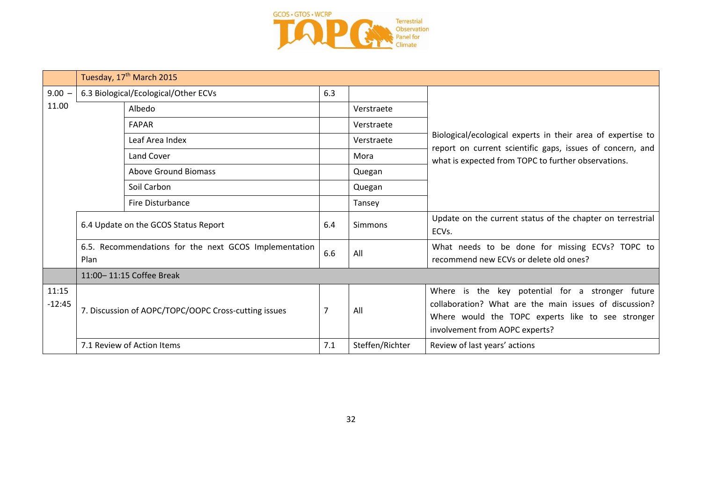

|                   |                                                               | Tuesday, 17 <sup>th</sup> March 2015                 |     |                 |                                                                                                                                                                                                   |  |
|-------------------|---------------------------------------------------------------|------------------------------------------------------|-----|-----------------|---------------------------------------------------------------------------------------------------------------------------------------------------------------------------------------------------|--|
| $9.00 -$          | 6.3 Biological/Ecological/Other ECVs                          |                                                      | 6.3 |                 |                                                                                                                                                                                                   |  |
| 11.00             | Albedo<br><b>FAPAR</b>                                        |                                                      |     | Verstraete      |                                                                                                                                                                                                   |  |
|                   |                                                               |                                                      |     | Verstraete      |                                                                                                                                                                                                   |  |
|                   |                                                               | Leaf Area Index                                      |     | Verstraete      | Biological/ecological experts in their area of expertise to                                                                                                                                       |  |
|                   |                                                               | Land Cover                                           |     | Mora            | report on current scientific gaps, issues of concern, and<br>what is expected from TOPC to further observations.                                                                                  |  |
|                   | <b>Above Ground Biomass</b><br>Soil Carbon                    |                                                      |     | Quegan          |                                                                                                                                                                                                   |  |
|                   |                                                               |                                                      |     | Quegan          |                                                                                                                                                                                                   |  |
|                   |                                                               | Fire Disturbance                                     |     | Tansey          |                                                                                                                                                                                                   |  |
|                   | 6.4 Update on the GCOS Status Report                          |                                                      | 6.4 | Simmons         | Update on the current status of the chapter on terrestrial<br>ECVs.                                                                                                                               |  |
|                   | 6.5. Recommendations for the next GCOS Implementation<br>Plan |                                                      | 6.6 | All             | What needs to be done for missing ECVs? TOPC to<br>recommend new ECVs or delete old ones?                                                                                                         |  |
|                   | 11:00-11:15 Coffee Break                                      |                                                      |     |                 |                                                                                                                                                                                                   |  |
| 11:15<br>$-12:45$ |                                                               | 7. Discussion of AOPC/TOPC/OOPC Cross-cutting issues | 7   | All             | Where is the key potential for a stronger future<br>collaboration? What are the main issues of discussion?<br>Where would the TOPC experts like to see stronger<br>involvement from AOPC experts? |  |
|                   |                                                               | 7.1 Review of Action Items                           | 7.1 | Steffen/Richter | Review of last years' actions                                                                                                                                                                     |  |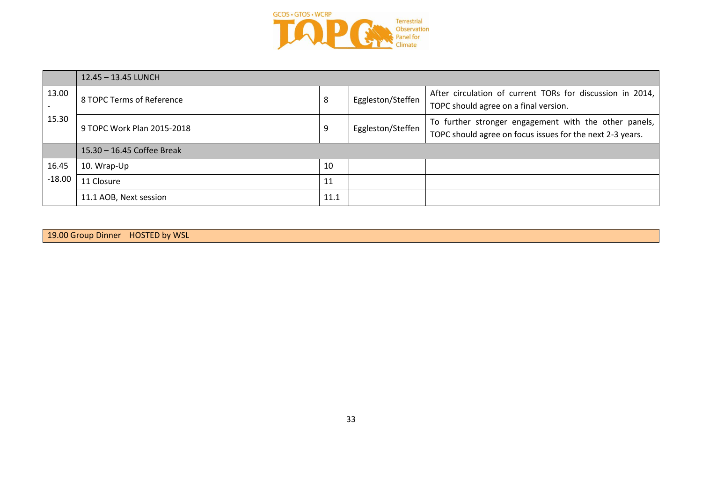

|          | 12.45 - 13.45 LUNCH        |      |                   |                                                                                                                    |  |
|----------|----------------------------|------|-------------------|--------------------------------------------------------------------------------------------------------------------|--|
| 13.00    | 8 TOPC Terms of Reference  | 8    | Eggleston/Steffen | After circulation of current TORs for discussion in 2014,<br>TOPC should agree on a final version.                 |  |
| 15.30    | 9 TOPC Work Plan 2015-2018 |      | Eggleston/Steffen | To further stronger engagement with the other panels,<br>TOPC should agree on focus issues for the next 2-3 years. |  |
|          | 15.30 - 16.45 Coffee Break |      |                   |                                                                                                                    |  |
| 16.45    | 10. Wrap-Up                | 10   |                   |                                                                                                                    |  |
| $-18.00$ | 11 Closure                 | 11   |                   |                                                                                                                    |  |
|          | 11.1 AOB, Next session     | 11.1 |                   |                                                                                                                    |  |

| 19.00 Group Dinner HOSTED by WSL |  |
|----------------------------------|--|
|----------------------------------|--|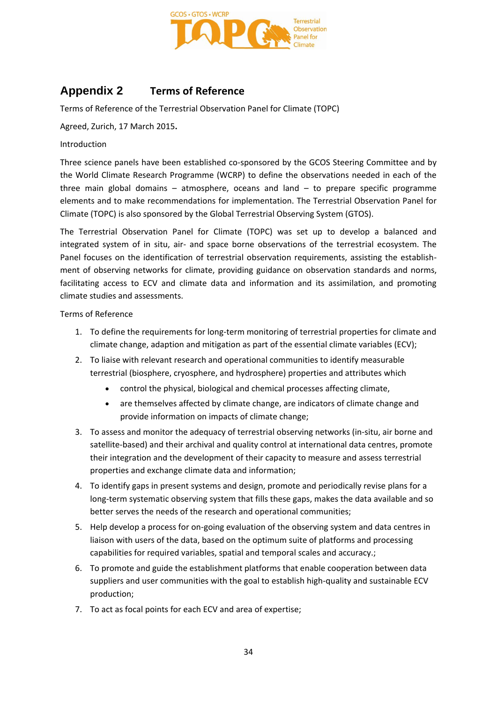

## **Appendix 2 Terms of Reference**

Terms of Reference of the Terrestrial Observation Panel for Climate (TOPC)

Agreed, Zurich, 17 March 2015**.**

Introduction

Three science panels have been established co-sponsored by the GCOS Steering Committee and by the World Climate Research Programme (WCRP) to define the observations needed in each of the three main global domains  $-$  atmosphere, oceans and land  $-$  to prepare specific programme elements and to make recommendations for implementation. The Terrestrial Observation Panel for Climate (TOPC) is also sponsored by the Global Terrestrial Observing System (GTOS).

The Terrestrial Observation Panel for Climate (TOPC) was set up to develop a balanced and integrated system of in situ, air- and space borne observations of the terrestrial ecosystem. The Panel focuses on the identification of terrestrial observation requirements, assisting the establishment of observing networks for climate, providing guidance on observation standards and norms, facilitating access to ECV and climate data and information and its assimilation, and promoting climate studies and assessments.

Terms of Reference

- 1. To define the requirements for long-term monitoring of terrestrial properties for climate and climate change, adaption and mitigation as part of the essential climate variables (ECV);
- 2. To liaise with relevant research and operational communities to identify measurable terrestrial (biosphere, cryosphere, and hydrosphere) properties and attributes which
	- control the physical, biological and chemical processes affecting climate,
	- are themselves affected by climate change, are indicators of climate change and provide information on impacts of climate change;
- 3. To assess and monitor the adequacy of terrestrial observing networks (in-situ, air borne and satellite-based) and their archival and quality control at international data centres, promote their integration and the development of their capacity to measure and assess terrestrial properties and exchange climate data and information;
- 4. To identify gaps in present systems and design, promote and periodically revise plans for a long-term systematic observing system that fills these gaps, makes the data available and so better serves the needs of the research and operational communities;
- 5. Help develop a process for on-going evaluation of the observing system and data centres in liaison with users of the data, based on the optimum suite of platforms and processing capabilities for required variables, spatial and temporal scales and accuracy.;
- 6. To promote and guide the establishment platforms that enable cooperation between data suppliers and user communities with the goal to establish high-quality and sustainable ECV production;
- 7. To act as focal points for each ECV and area of expertise;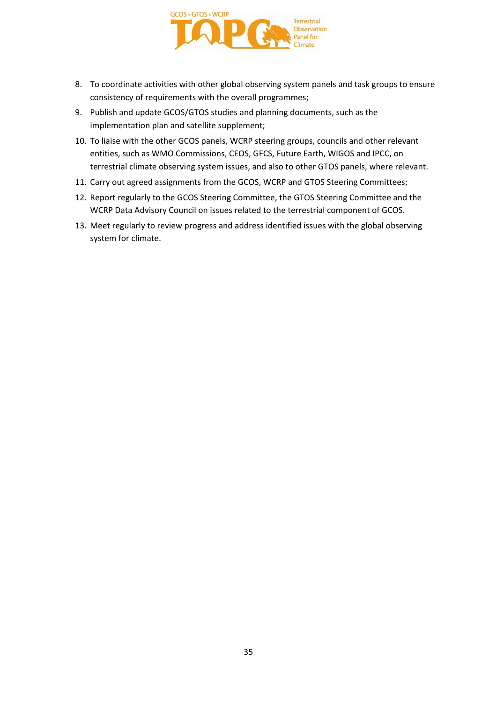

- 8. To coordinate activities with other global observing system panels and task groups to ensure consistency of requirements with the overall programmes;
- 9. Publish and update GCOS/GTOS studies and planning documents, such as the implementation plan and satellite supplement;
- 10. To liaise with the other GCOS panels, WCRP steering groups, councils and other relevant entities, such as WMO Commissions, CEOS, GFCS, Future Earth, WIGOS and IPCC, on terrestrial climate observing system issues, and also to other GTOS panels, where relevant.
- 11. Carry out agreed assignments from the GCOS, WCRP and GTOS Steering Committees;
- 12. Report regularly to the GCOS Steering Committee, the GTOS Steering Committee and the WCRP Data Advisory Council on issues related to the terrestrial component of GCOS.
- 13. Meet regularly to review progress and address identified issues with the global observing system for climate.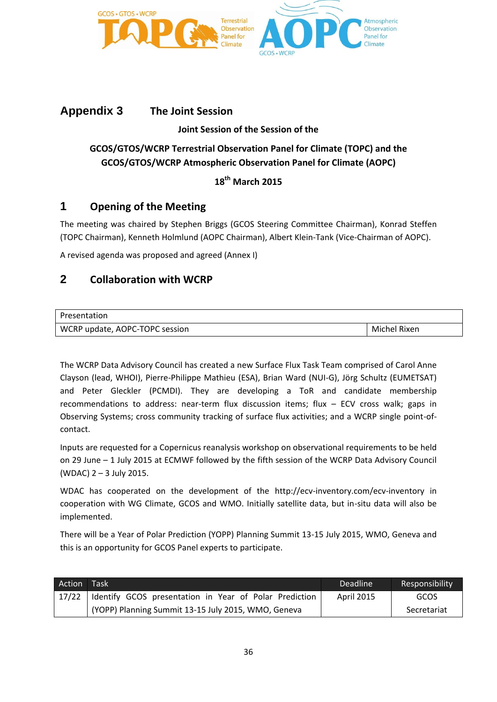

## **Appendix 3 The Joint Session**

### **Joint Session of the Session of the**

## **GCOS/GTOS/WCRP Terrestrial Observation Panel for Climate (TOPC) and the GCOS/GTOS/WCRP Atmospheric Observation Panel for Climate (AOPC)**

## **18th March 2015**

## **1 Opening of the Meeting**

The meeting was chaired by Stephen Briggs (GCOS Steering Committee Chairman), Konrad Steffen (TOPC Chairman), Kenneth Holmlund (AOPC Chairman), Albert Klein-Tank (Vice-Chairman of AOPC).

A revised agenda was proposed and agreed (Annex I)

## **2 Collaboration with WCRP**

| Presentation                   |              |
|--------------------------------|--------------|
| WCRP update, AOPC-TOPC session | Michel Rixen |

The WCRP Data Advisory Council has created a new Surface Flux Task Team comprised of Carol Anne Clayson (lead, WHOI), Pierre-Philippe Mathieu (ESA), Brian Ward (NUI-G), Jörg Schultz (EUMETSAT) and Peter Gleckler (PCMDI). They are developing a ToR and candidate membership recommendations to address: near-term flux discussion items; flux – ECV cross walk; gaps in Observing Systems; cross community tracking of surface flux activities; and a WCRP single point-ofcontact.

Inputs are requested for a Copernicus reanalysis workshop on observational requirements to be held on 29 June – 1 July 2015 at ECMWF followed by the fifth session of the WCRP Data Advisory Council (WDAC) 2 – 3 July 2015.

WDAC has cooperated on the development of the http://ecv-inventory.com/ecv-inventory in cooperation with WG Climate, GCOS and WMO. Initially satellite data, but in-situ data will also be implemented.

There will be a Year of Polar Prediction (YOPP) Planning Summit 13-15 July 2015, WMO, Geneva and this is an opportunity for GCOS Panel experts to participate.

| Action | Task                                                     | <b>Deadline</b>   | Responsibility |
|--------|----------------------------------------------------------|-------------------|----------------|
| 17/22  | I Identify GCOS presentation in Year of Polar Prediction | <b>April 2015</b> | GCOS           |
|        | (YOPP) Planning Summit 13-15 July 2015, WMO, Geneva      |                   | Secretariat    |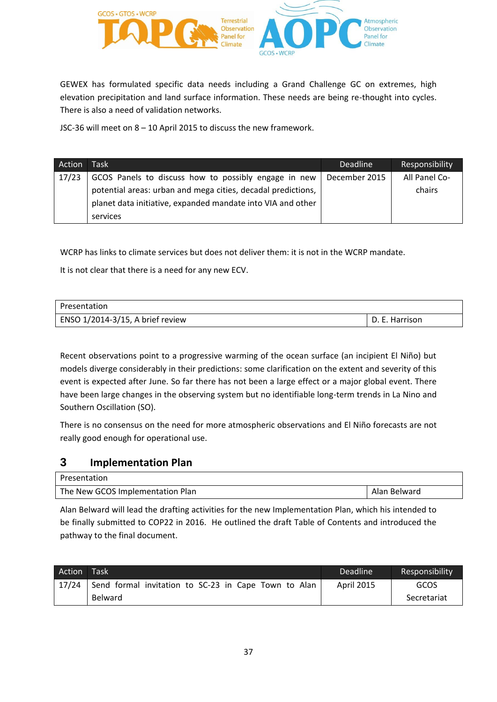

GEWEX has formulated specific data needs including a Grand Challenge GC on extremes, high elevation precipitation and land surface information. These needs are being re-thought into cycles. There is also a need of validation networks.

JSC-36 will meet on 8 – 10 April 2015 to discuss the new framework.

| Action | Task                                                         | <b>Deadline</b> | Responsibility |
|--------|--------------------------------------------------------------|-----------------|----------------|
| 17/23  | GCOS Panels to discuss how to possibly engage in new         | December 2015   | All Panel Co-  |
|        | potential areas: urban and mega cities, decadal predictions, |                 | chairs         |
|        | planet data initiative, expanded mandate into VIA and other  |                 |                |
|        | services                                                     |                 |                |

WCRP has links to climate services but does not deliver them: it is not in the WCRP mandate.

It is not clear that there is a need for any new ECV.

| Presentation                     |                |
|----------------------------------|----------------|
| ENSO 1/2014-3/15, A brief review | D. E. Harrison |

Recent observations point to a progressive warming of the ocean surface (an incipient El Niño) but models diverge considerably in their predictions: some clarification on the extent and severity of this event is expected after June. So far there has not been a large effect or a major global event. There have been large changes in the observing system but no identifiable long-term trends in La Nino and Southern Oscillation (SO).

There is no consensus on the need for more atmospheric observations and El Niño forecasts are not really good enough for operational use.

## **3 Implementation Plan**

| Presentation                     |              |
|----------------------------------|--------------|
| The New GCOS Implementation Plan | Alan Belward |

Alan Belward will lead the drafting activities for the new Implementation Plan, which his intended to be finally submitted to COP22 in 2016. He outlined the draft Table of Contents and introduced the pathway to the final document.

| <b>Action</b> | Task                                                 | Deadline          | Responsibility |
|---------------|------------------------------------------------------|-------------------|----------------|
| 17/24         | Send formal invitation to SC-23 in Cape Town to Alan | <b>April 2015</b> | GCOS           |
|               | Belward                                              |                   | Secretariat    |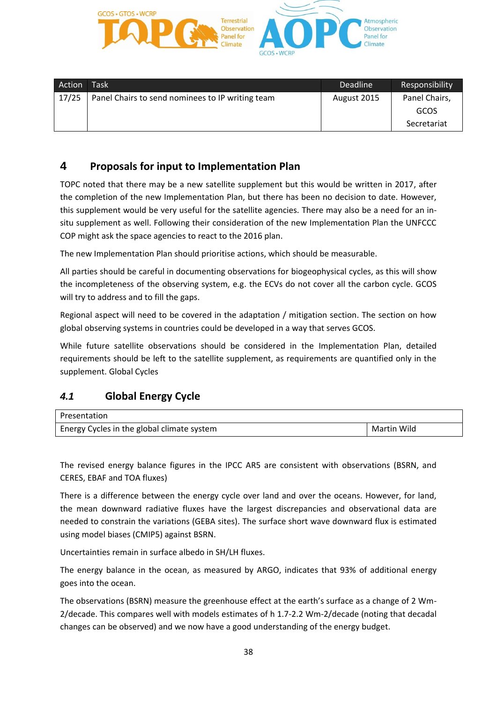

| Action | <b>Task</b>                                      | <b>Deadline</b> | Responsibility |
|--------|--------------------------------------------------|-----------------|----------------|
| 17/25  | Panel Chairs to send nominees to IP writing team | August 2015     | Panel Chairs,  |
|        |                                                  |                 | GCOS           |
|        |                                                  |                 | Secretariat    |

## **4 Proposals for input to Implementation Plan**

TOPC noted that there may be a new satellite supplement but this would be written in 2017, after the completion of the new Implementation Plan, but there has been no decision to date. However, this supplement would be very useful for the satellite agencies. There may also be a need for an insitu supplement as well. Following their consideration of the new Implementation Plan the UNFCCC COP might ask the space agencies to react to the 2016 plan.

The new Implementation Plan should prioritise actions, which should be measurable.

All parties should be careful in documenting observations for biogeophysical cycles, as this will show the incompleteness of the observing system, e.g. the ECVs do not cover all the carbon cycle. GCOS will try to address and to fill the gaps.

Regional aspect will need to be covered in the adaptation / mitigation section. The section on how global observing systems in countries could be developed in a way that serves GCOS.

While future satellite observations should be considered in the Implementation Plan, detailed requirements should be left to the satellite supplement, as requirements are quantified only in the supplement. Global Cycles

## *4.1* **Global Energy Cycle**

| Presentation                               |             |
|--------------------------------------------|-------------|
| Energy Cycles in the global climate system | Martin Wild |

The revised energy balance figures in the IPCC AR5 are consistent with observations (BSRN, and CERES, EBAF and TOA fluxes)

There is a difference between the energy cycle over land and over the oceans. However, for land, the mean downward radiative fluxes have the largest discrepancies and observational data are needed to constrain the variations (GEBA sites). The surface short wave downward flux is estimated using model biases (CMIP5) against BSRN.

Uncertainties remain in surface albedo in SH/LH fluxes.

The energy balance in the ocean, as measured by ARGO, indicates that 93% of additional energy goes into the ocean.

The observations (BSRN) measure the greenhouse effect at the earth's surface as a change of 2 Wm-2/decade. This compares well with models estimates of h 1.7-2.2 Wm-2/decade (noting that decadal changes can be observed) and we now have a good understanding of the energy budget.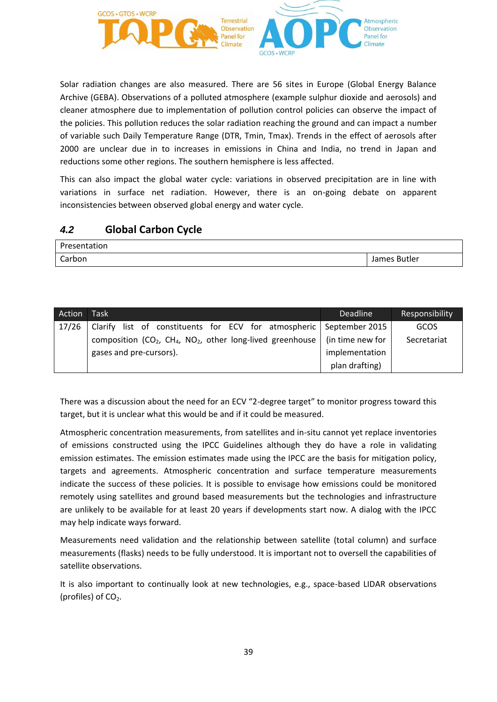

Solar radiation changes are also measured. There are 56 sites in Europe (Global Energy Balance Archive (GEBA). Observations of a polluted atmosphere (example sulphur dioxide and aerosols) and cleaner atmosphere due to implementation of pollution control policies can observe the impact of the policies. This pollution reduces the solar radiation reaching the ground and can impact a number of variable such Daily Temperature Range (DTR, Tmin, Tmax). Trends in the effect of aerosols after 2000 are unclear due in to increases in emissions in China and India, no trend in Japan and reductions some other regions. The southern hemisphere is less affected.

This can also impact the global water cycle: variations in observed precipitation are in line with variations in surface net radiation. However, there is an on-going debate on apparent inconsistencies between observed global energy and water cycle.

## *4.2* **Global Carbon Cycle**

| <b>Drocon</b><br>Presentation |                        |
|-------------------------------|------------------------|
| Carbon                        | <b>Butler</b><br>James |

| Action | Task <sup>1</sup>                                                           | <b>Deadline</b>  | Responsibility |
|--------|-----------------------------------------------------------------------------|------------------|----------------|
| 17/26  | Clarify list of constituents for ECV for atmospheric   September 2015       |                  | GCOS           |
|        | composition ( $CO2$ , $CH4$ , NO <sub>2</sub> , other long-lived greenhouse | (in time new for | Secretariat    |
|        | gases and pre-cursors).                                                     | implementation   |                |
|        |                                                                             | plan drafting)   |                |

There was a discussion about the need for an ECV "2-degree target" to monitor progress toward this target, but it is unclear what this would be and if it could be measured.

Atmospheric concentration measurements, from satellites and in-situ cannot yet replace inventories of emissions constructed using the IPCC Guidelines although they do have a role in validating emission estimates. The emission estimates made using the IPCC are the basis for mitigation policy, targets and agreements. Atmospheric concentration and surface temperature measurements indicate the success of these policies. It is possible to envisage how emissions could be monitored remotely using satellites and ground based measurements but the technologies and infrastructure are unlikely to be available for at least 20 years if developments start now. A dialog with the IPCC may help indicate ways forward.

Measurements need validation and the relationship between satellite (total column) and surface measurements (flasks) needs to be fully understood. It is important not to oversell the capabilities of satellite observations.

It is also important to continually look at new technologies, e.g., space-based LIDAR observations (profiles) of  $CO<sub>2</sub>$ .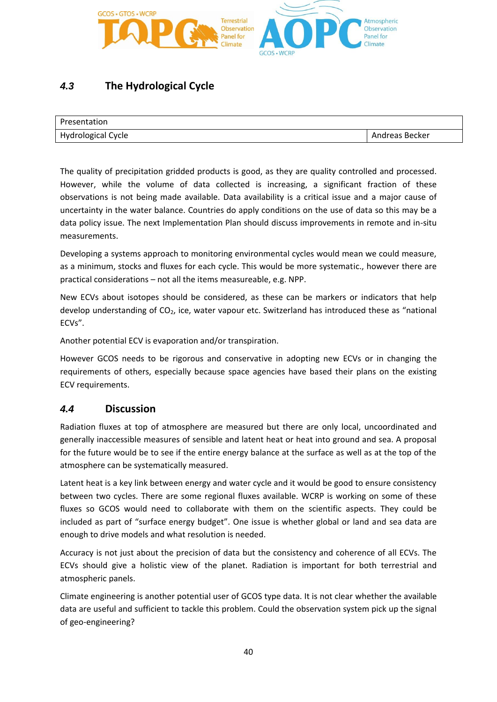

## *4.3* **The Hydrological Cycle**

| Presentation       |                |
|--------------------|----------------|
| Hydrological Cycle | Andreas Becker |

The quality of precipitation gridded products is good, as they are quality controlled and processed. However, while the volume of data collected is increasing, a significant fraction of these observations is not being made available. Data availability is a critical issue and a major cause of uncertainty in the water balance. Countries do apply conditions on the use of data so this may be a data policy issue. The next Implementation Plan should discuss improvements in remote and in-situ measurements.

Developing a systems approach to monitoring environmental cycles would mean we could measure, as a minimum, stocks and fluxes for each cycle. This would be more systematic., however there are practical considerations – not all the items measureable, e.g. NPP.

New ECVs about isotopes should be considered, as these can be markers or indicators that help develop understanding of CO2, ice, water vapour etc. Switzerland has introduced these as "national ECVs".

Another potential ECV is evaporation and/or transpiration.

However GCOS needs to be rigorous and conservative in adopting new ECVs or in changing the requirements of others, especially because space agencies have based their plans on the existing ECV requirements.

## *4.4* **Discussion**

Radiation fluxes at top of atmosphere are measured but there are only local, uncoordinated and generally inaccessible measures of sensible and latent heat or heat into ground and sea. A proposal for the future would be to see if the entire energy balance at the surface as well as at the top of the atmosphere can be systematically measured.

Latent heat is a key link between energy and water cycle and it would be good to ensure consistency between two cycles. There are some regional fluxes available. WCRP is working on some of these fluxes so GCOS would need to collaborate with them on the scientific aspects. They could be included as part of "surface energy budget". One issue is whether global or land and sea data are enough to drive models and what resolution is needed.

Accuracy is not just about the precision of data but the consistency and coherence of all ECVs. The ECVs should give a holistic view of the planet. Radiation is important for both terrestrial and atmospheric panels.

Climate engineering is another potential user of GCOS type data. It is not clear whether the available data are useful and sufficient to tackle this problem. Could the observation system pick up the signal of geo-engineering?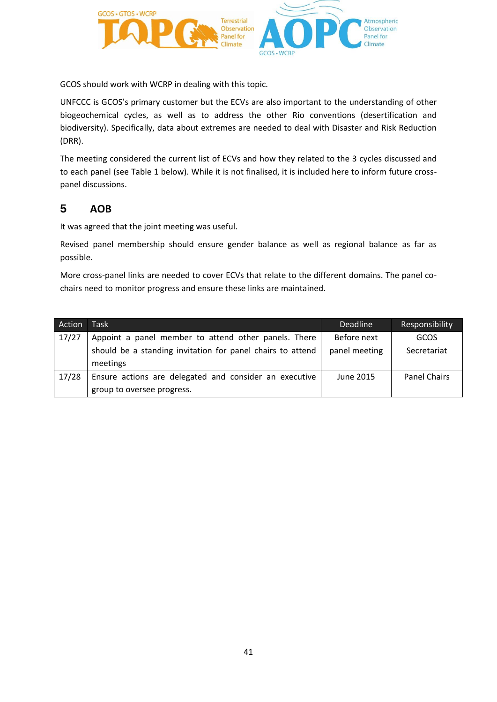

GCOS should work with WCRP in dealing with this topic.

UNFCCC is GCOS's primary customer but the ECVs are also important to the understanding of other biogeochemical cycles, as well as to address the other Rio conventions (desertification and biodiversity). Specifically, data about extremes are needed to deal with Disaster and Risk Reduction (DRR).

The meeting considered the current list of ECVs and how they related to the 3 cycles discussed and to each panel (see Table 1 below). While it is not finalised, it is included here to inform future crosspanel discussions.

## **5 AOB**

It was agreed that the joint meeting was useful.

Revised panel membership should ensure gender balance as well as regional balance as far as possible.

More cross-panel links are needed to cover ECVs that relate to the different domains. The panel cochairs need to monitor progress and ensure these links are maintained.

| Action | <b>Task</b>                                                | <b>Deadline</b> | Responsibility      |
|--------|------------------------------------------------------------|-----------------|---------------------|
| 17/27  | Appoint a panel member to attend other panels. There       | Before next     | GCOS                |
|        | should be a standing invitation for panel chairs to attend | panel meeting   | Secretariat         |
|        | meetings                                                   |                 |                     |
| 17/28  | Ensure actions are delegated and consider an executive     | June 2015       | <b>Panel Chairs</b> |
|        | group to oversee progress.                                 |                 |                     |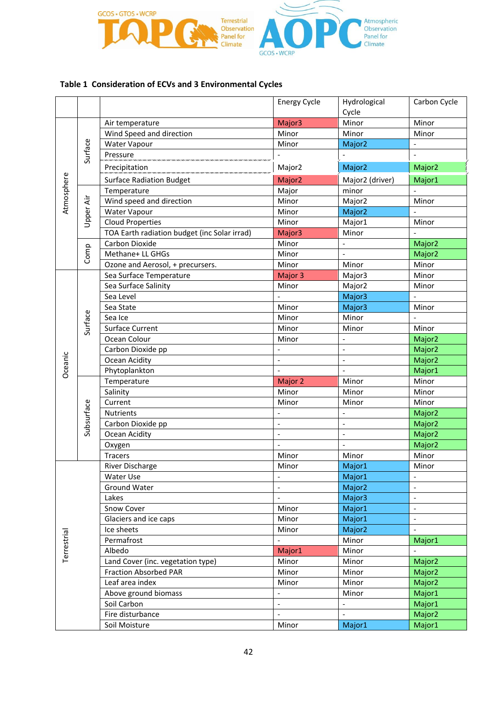

## **Table 1 Consideration of ECVs and 3 Environmental Cycles**

|             |            |                                              | <b>Energy Cycle</b>      | Hydrological             | Carbon Cycle             |
|-------------|------------|----------------------------------------------|--------------------------|--------------------------|--------------------------|
|             |            |                                              |                          | Cycle                    |                          |
|             |            | Air temperature                              | Major3                   | Minor                    | Minor                    |
|             |            | Wind Speed and direction                     | Minor                    | Minor                    | Minor                    |
|             |            | Water Vapour                                 | Minor                    | Major <sub>2</sub>       |                          |
|             | Surface    | Pressure                                     |                          |                          |                          |
|             |            | Precipitation                                | Major <sub>2</sub>       | Major <sub>2</sub>       | Major <sub>2</sub>       |
| Atmosphere  |            | <b>Surface Radiation Budget</b>              | Major <sub>2</sub>       | Major2 (driver)          | Major1                   |
|             |            | Temperature                                  | Major                    | minor                    |                          |
|             | Upper Air  | Wind speed and direction                     | Minor                    | Major2                   | Minor                    |
|             |            | Water Vapour                                 | Minor                    | Major <sub>2</sub>       |                          |
|             |            | <b>Cloud Properties</b>                      | Minor                    | Major1                   | Minor                    |
|             |            | TOA Earth radiation budget (inc Solar irrad) | Major3                   | Minor                    |                          |
|             |            | Carbon Dioxide                               | Minor                    |                          | Major <sub>2</sub>       |
|             | Comp       | Methane+ LL GHGs                             | Minor                    |                          | Major <sub>2</sub>       |
|             |            | Ozone and Aerosol, + precursers.             | Minor                    | Minor                    | Minor                    |
|             |            | Sea Surface Temperature                      | Major 3                  | Major3                   | Minor                    |
|             |            | Sea Surface Salinity                         | Minor                    | Major <sub>2</sub>       | Minor                    |
|             |            | Sea Level                                    |                          | Major3                   |                          |
|             |            | Sea State                                    | Minor                    | Major3                   | Minor                    |
|             | Surface    | Sea Ice                                      | Minor                    | Minor                    |                          |
|             |            | <b>Surface Current</b>                       | Minor                    | Minor                    | Minor                    |
|             |            | Ocean Colour                                 | Minor                    |                          | Major <sub>2</sub>       |
|             |            | Carbon Dioxide pp                            |                          | $\overline{\phantom{a}}$ | Major <sub>2</sub>       |
|             |            | Ocean Acidity                                | $\frac{1}{2}$            | $\frac{1}{2}$            | Major <sub>2</sub>       |
| Oceanic     |            | Phytoplankton                                |                          | $\overline{a}$           | Major1                   |
|             |            | Temperature                                  | Major 2                  | Minor                    | Minor                    |
|             | Subsurface | Salinity                                     | Minor                    | Minor                    | Minor                    |
|             |            | Current                                      | Minor                    | Minor                    | Minor                    |
|             |            | <b>Nutrients</b>                             |                          |                          | Major <sub>2</sub>       |
|             |            | Carbon Dioxide pp                            | $\frac{1}{2}$            | $\overline{\phantom{a}}$ | Major <sub>2</sub>       |
|             |            | Ocean Acidity                                | $\frac{1}{2}$            | $\overline{\phantom{a}}$ | Major <sub>2</sub>       |
|             |            | Oxygen                                       |                          |                          | Major <sub>2</sub>       |
|             |            | <b>Tracers</b>                               | Minor                    | Minor                    | Minor                    |
|             |            | <b>River Discharge</b>                       | Minor                    | Major1                   | Minor                    |
|             |            | Water Use                                    | $\overline{\phantom{a}}$ | Major1                   | $\overline{\phantom{a}}$ |
|             |            | <b>Ground Water</b>                          | $\overline{\phantom{a}}$ | Major2                   | $\overline{\phantom{a}}$ |
|             |            | Lakes                                        | $\overline{a}$           | Major3                   | $\overline{\phantom{a}}$ |
|             |            | Snow Cover                                   | Minor                    | Major1                   | $\overline{\phantom{a}}$ |
|             |            | Glaciers and ice caps                        | Minor                    | Major1                   | $\overline{\phantom{a}}$ |
|             |            | Ice sheets                                   | Minor                    | Major <sub>2</sub>       |                          |
| Terrestrial |            | Permafrost                                   |                          | Minor                    | Major1                   |
|             |            | Albedo                                       | Major1                   | Minor                    |                          |
|             |            | Land Cover (inc. vegetation type)            | Minor                    | Minor                    | Major <sub>2</sub>       |
|             |            | <b>Fraction Absorbed PAR</b>                 | Minor                    | Minor                    | Major <sub>2</sub>       |
|             |            | Leaf area index                              | Minor                    | Minor                    | Major <sub>2</sub>       |
|             |            | Above ground biomass                         | $\frac{1}{2}$            | Minor                    | Major1                   |
|             |            | Soil Carbon                                  | $\overline{\phantom{a}}$ |                          | Major1                   |
|             |            | Fire disturbance                             | $\overline{a}$           | $\overline{a}$           | Major <sub>2</sub>       |
|             |            | Soil Moisture                                | Minor                    | Major1                   | Major1                   |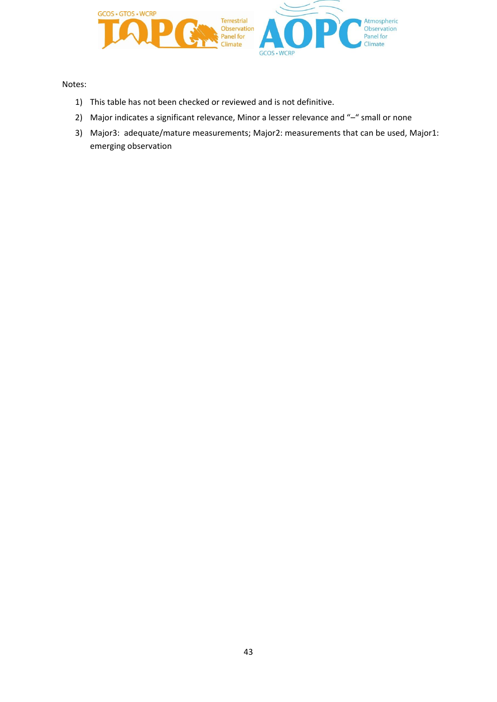

Notes:

- 1) This table has not been checked or reviewed and is not definitive.
- 2) Major indicates a significant relevance, Minor a lesser relevance and "-" small or none
- 3) Major3: adequate/mature measurements; Major2: measurements that can be used, Major1: emerging observation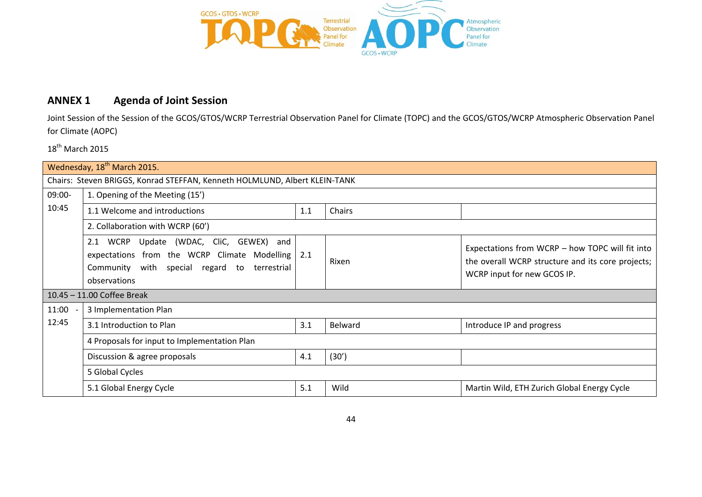

## **ANNEX 1 Agenda of Joint Session**

Joint Session of the Session of the GCOS/GTOS/WCRP Terrestrial Observation Panel for Climate (TOPC) and the GCOS/GTOS/WCRP Atmospheric Observation Panel for Climate (AOPC)

18<sup>th</sup> March 2015

|        | Wednesday, 18 <sup>th</sup> March 2015.                                                                                                                                                                                                                                                                           |     |         |                                             |  |  |
|--------|-------------------------------------------------------------------------------------------------------------------------------------------------------------------------------------------------------------------------------------------------------------------------------------------------------------------|-----|---------|---------------------------------------------|--|--|
|        | Chairs: Steven BRIGGS, Konrad STEFFAN, Kenneth HOLMLUND, Albert KLEIN-TANK                                                                                                                                                                                                                                        |     |         |                                             |  |  |
| 09:00- | 1. Opening of the Meeting (15')                                                                                                                                                                                                                                                                                   |     |         |                                             |  |  |
| 10:45  | 1.1 Welcome and introductions                                                                                                                                                                                                                                                                                     | 1.1 | Chairs  |                                             |  |  |
|        | 2. Collaboration with WCRP (60')                                                                                                                                                                                                                                                                                  |     |         |                                             |  |  |
|        | WCRP Update (WDAC, CliC, GEWEX) and<br>2.1<br>Expectations from WCRP - how TOPC will fit into<br>expectations from the WCRP Climate Modelling 2.1<br>the overall WCRP structure and its core projects;<br>Rixen<br>Community with special regard to<br>terrestrial<br>WCRP input for new GCOS IP.<br>observations |     |         |                                             |  |  |
|        | 10.45 - 11.00 Coffee Break                                                                                                                                                                                                                                                                                        |     |         |                                             |  |  |
| 11:00  | 3 Implementation Plan                                                                                                                                                                                                                                                                                             |     |         |                                             |  |  |
| 12:45  | 3.1 Introduction to Plan                                                                                                                                                                                                                                                                                          | 3.1 | Belward | Introduce IP and progress                   |  |  |
|        | 4 Proposals for input to Implementation Plan                                                                                                                                                                                                                                                                      |     |         |                                             |  |  |
|        | Discussion & agree proposals                                                                                                                                                                                                                                                                                      | 4.1 | (30')   |                                             |  |  |
|        | 5 Global Cycles                                                                                                                                                                                                                                                                                                   |     |         |                                             |  |  |
|        | 5.1 Global Energy Cycle                                                                                                                                                                                                                                                                                           | 5.1 | Wild    | Martin Wild, ETH Zurich Global Energy Cycle |  |  |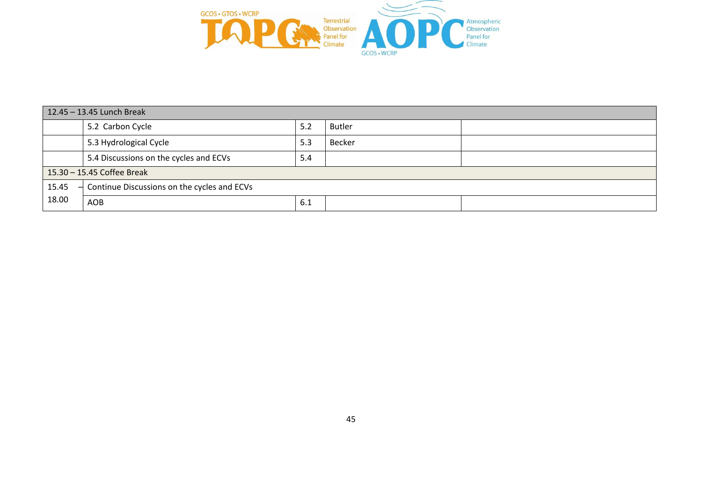

| 12.45 - 13.45 Lunch Break |                                                                         |     |               |  |  |
|---------------------------|-------------------------------------------------------------------------|-----|---------------|--|--|
|                           | 5.2 Carbon Cycle                                                        | 5.2 | <b>Butler</b> |  |  |
|                           | 5.3 Hydrological Cycle                                                  | 5.3 | Becker        |  |  |
|                           | 5.4 Discussions on the cycles and ECVs                                  | 5.4 |               |  |  |
|                           | 15.30 - 15.45 Coffee Break                                              |     |               |  |  |
| 15.45                     | Continue Discussions on the cycles and ECVs<br>$\overline{\phantom{0}}$ |     |               |  |  |
| 18.00                     | AOB                                                                     | 6.1 |               |  |  |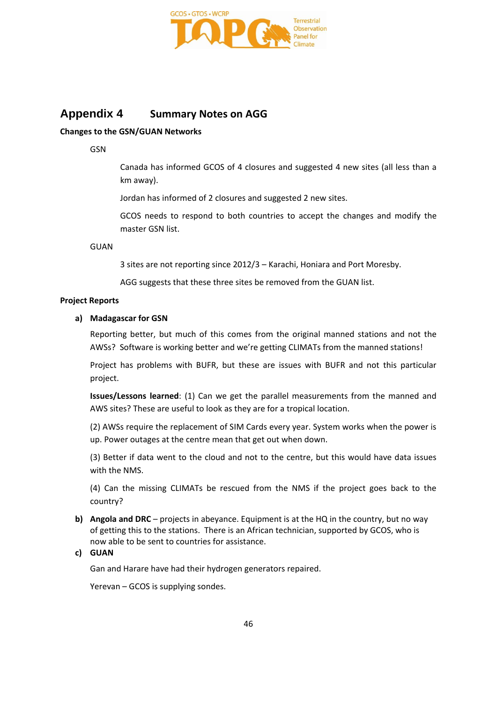

## **Appendix 4 Summary Notes on AGG**

### **Changes to the GSN/GUAN Networks**

GSN

Canada has informed GCOS of 4 closures and suggested 4 new sites (all less than a km away).

Jordan has informed of 2 closures and suggested 2 new sites.

GCOS needs to respond to both countries to accept the changes and modify the master GSN list.

**GUAN** 

3 sites are not reporting since 2012/3 – Karachi, Honiara and Port Moresby.

AGG suggests that these three sites be removed from the GUAN list.

### **Project Reports**

### **a) Madagascar for GSN**

Reporting better, but much of this comes from the original manned stations and not the AWSs? Software is working better and we're getting CLIMATs from the manned stations!

Project has problems with BUFR, but these are issues with BUFR and not this particular project.

**Issues/Lessons learned**: (1) Can we get the parallel measurements from the manned and AWS sites? These are useful to look as they are for a tropical location.

(2) AWSs require the replacement of SIM Cards every year. System works when the power is up. Power outages at the centre mean that get out when down.

(3) Better if data went to the cloud and not to the centre, but this would have data issues with the NMS.

(4) Can the missing CLIMATs be rescued from the NMS if the project goes back to the country?

**b) Angola and DRC** – projects in abeyance. Equipment is at the HQ in the country, but no way of getting this to the stations. There is an African technician, supported by GCOS, who is now able to be sent to countries for assistance.

### **c) GUAN**

Gan and Harare have had their hydrogen generators repaired.

Yerevan – GCOS is supplying sondes.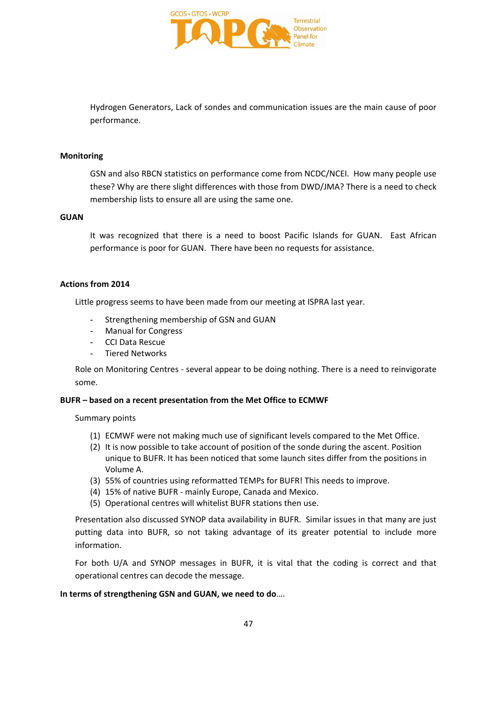

Hydrogen Generators, Lack of sondes and communication issues are the main cause of poor performance.

### **Monitoring**

GSN and also RBCN statistics on performance come from NCDC/NCEI. How many people use these? Why are there slight differences with those from DWD/JMA? There is a need to check membership lists to ensure all are using the same one.

### **GUAN**

It was recognized that there is a need to boost Pacific Islands for GUAN. East African performance is poor for GUAN. There have been no requests for assistance.

### **Actions from 2014**

Little progress seems to have been made from our meeting at ISPRA last year.

- Strengthening membership of GSN and GUAN
- Manual for Congress
- CCI Data Rescue
- Tiered Networks

Role on Monitoring Centres - several appear to be doing nothing. There is a need to reinvigorate some.

### **BUFR – based on a recent presentation from the Met Office to ECMWF**

Summary points

- (1) ECMWF were not making much use of significant levels compared to the Met Office.
- (2) It is now possible to take account of position of the sonde during the ascent. Position unique to BUFR. It has been noticed that some launch sites differ from the positions in Volume A.
- (3) 55% of countries using reformatted TEMPs for BUFR! This needs to improve.
- (4) 15% of native BUFR mainly Europe, Canada and Mexico.
- (5) Operational centres will whitelist BUFR stations then use.

Presentation also discussed SYNOP data availability in BUFR. Similar issues in that many are just putting data into BUFR, so not taking advantage of its greater potential to include more information.

For both U/A and SYNOP messages in BUFR, it is vital that the coding is correct and that operational centres can decode the message.

### **In terms of strengthening GSN and GUAN, we need to do**….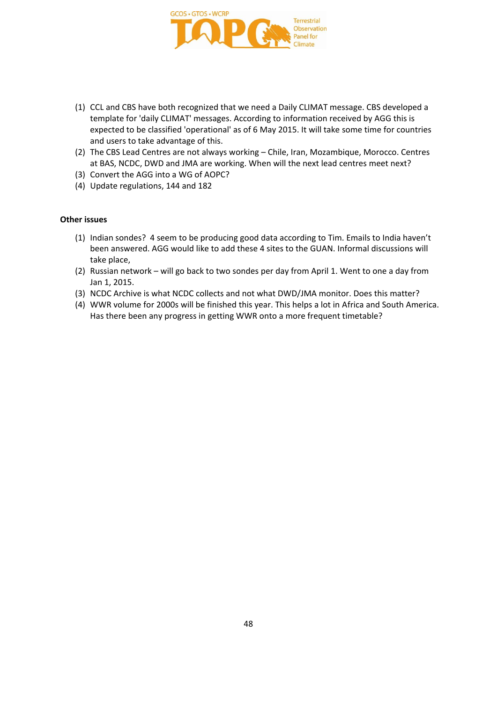

- (1) CCL and CBS have both recognized that we need a Daily CLIMAT message. CBS developed a template for 'daily CLIMAT' messages. According to information received by AGG this is expected to be classified 'operational' as of 6 May 2015. It will take some time for countries and users to take advantage of this.
- (2) The CBS Lead Centres are not always working Chile, Iran, Mozambique, Morocco. Centres at BAS, NCDC, DWD and JMA are working. When will the next lead centres meet next?
- (3) Convert the AGG into a WG of AOPC?
- (4) Update regulations, 144 and 182

### **Other issues**

- (1) Indian sondes? 4 seem to be producing good data according to Tim. Emails to India haven't been answered. AGG would like to add these 4 sites to the GUAN. Informal discussions will take place,
- (2) Russian network will go back to two sondes per day from April 1. Went to one a day from Jan 1, 2015.
- (3) NCDC Archive is what NCDC collects and not what DWD/JMA monitor. Does this matter?
- (4) WWR volume for 2000s will be finished this year. This helps a lot in Africa and South America. Has there been any progress in getting WWR onto a more frequent timetable?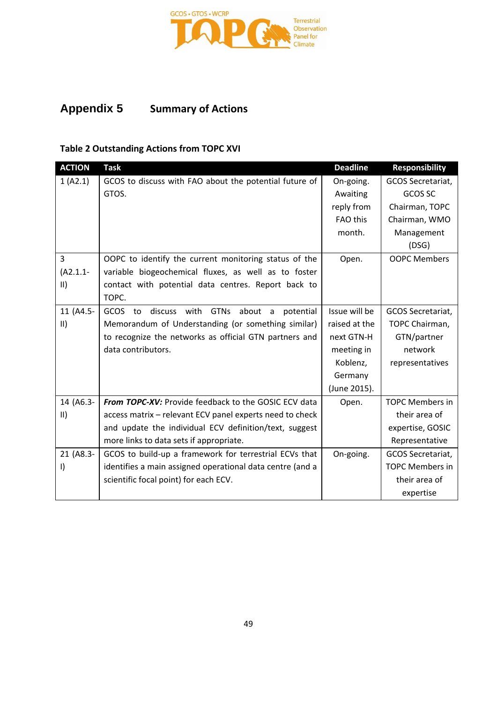

## **Appendix 5 Summary of Actions**

## **Table 2 Outstanding Actions from TOPC XVI**

| <b>ACTION</b>       | <b>Task</b>                                                              | <b>Deadline</b> | <b>Responsibility</b>  |
|---------------------|--------------------------------------------------------------------------|-----------------|------------------------|
| 1 (A2.1)            | GCOS to discuss with FAO about the potential future of                   | On-going.       | GCOS Secretariat,      |
|                     | GTOS.                                                                    | Awaiting        | GCOS SC                |
|                     |                                                                          | reply from      | Chairman, TOPC         |
|                     |                                                                          | FAO this        | Chairman, WMO          |
|                     |                                                                          | month.          | Management             |
|                     |                                                                          |                 | (DSG)                  |
| 3                   | OOPC to identify the current monitoring status of the                    | Open.           | <b>OOPC Members</b>    |
| $(A2.1.1 -$         | variable biogeochemical fluxes, as well as to foster                     |                 |                        |
| $\parallel$         | contact with potential data centres. Report back to                      |                 |                        |
|                     | TOPC.                                                                    |                 |                        |
| 11 (A4.5-           | <b>GCOS</b><br>discuss with<br><b>GTNs</b><br>about a<br>to<br>potential | Issue will be   | GCOS Secretariat,      |
| $\vert \vert \vert$ | Memorandum of Understanding (or something similar)                       | raised at the   | TOPC Chairman,         |
|                     | to recognize the networks as official GTN partners and                   | next GTN-H      | GTN/partner            |
|                     | data contributors.                                                       | meeting in      | network                |
|                     |                                                                          | Koblenz,        | representatives        |
|                     |                                                                          | Germany         |                        |
|                     |                                                                          | (June 2015).    |                        |
| 14 (A6.3-           | From TOPC-XV: Provide feedback to the GOSIC ECV data                     | Open.           | <b>TOPC Members in</b> |
| $\vert \vert \vert$ | access matrix - relevant ECV panel experts need to check                 |                 | their area of          |
|                     | and update the individual ECV definition/text, suggest                   |                 | expertise, GOSIC       |
|                     | more links to data sets if appropriate.                                  |                 | Representative         |
| 21 (A8.3-           | GCOS to build-up a framework for terrestrial ECVs that                   | On-going.       | GCOS Secretariat,      |
| $\vert$             | identifies a main assigned operational data centre (and a                |                 | <b>TOPC Members in</b> |
|                     | scientific focal point) for each ECV.                                    |                 | their area of          |
|                     |                                                                          |                 | expertise              |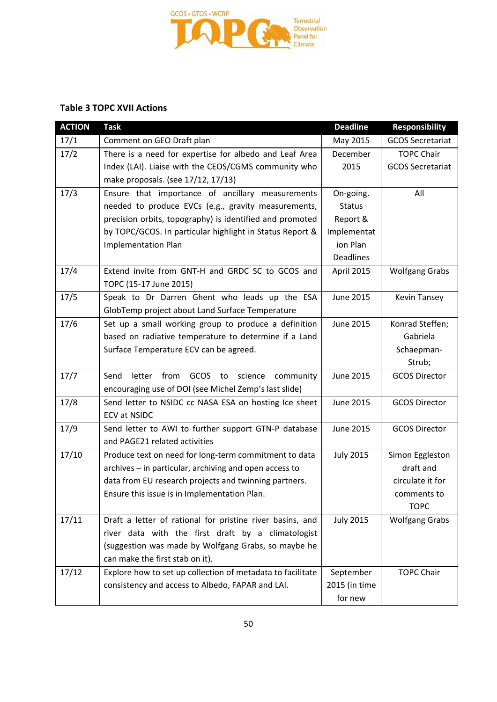

## **Table 3 TOPC XVII Actions**

| <b>ACTION</b> | <b>Task</b>                                                | <b>Deadline</b>  | <b>Responsibility</b>   |
|---------------|------------------------------------------------------------|------------------|-------------------------|
| 17/1          | Comment on GEO Draft plan                                  | May 2015         | <b>GCOS Secretariat</b> |
| 17/2          | There is a need for expertise for albedo and Leaf Area     | December         | <b>TOPC Chair</b>       |
|               | Index (LAI). Liaise with the CEOS/CGMS community who       | 2015             | <b>GCOS Secretariat</b> |
|               | make proposals. (see 17/12, 17/13)                         |                  |                         |
| 17/3          | Ensure that importance of ancillary measurements           | On-going.        | All                     |
|               | needed to produce EVCs (e.g., gravity measurements,        | <b>Status</b>    |                         |
|               | precision orbits, topography) is identified and promoted   | Report &         |                         |
|               | by TOPC/GCOS. In particular highlight in Status Report &   | Implementat      |                         |
|               | <b>Implementation Plan</b>                                 | ion Plan         |                         |
|               |                                                            | <b>Deadlines</b> |                         |
| 17/4          | Extend invite from GNT-H and GRDC SC to GCOS and           | April 2015       | <b>Wolfgang Grabs</b>   |
|               | TOPC (15-17 June 2015)                                     |                  |                         |
| 17/5          | Speak to Dr Darren Ghent who leads up the ESA              | <b>June 2015</b> | <b>Kevin Tansey</b>     |
|               | GlobTemp project about Land Surface Temperature            |                  |                         |
| 17/6          | Set up a small working group to produce a definition       | June 2015        | Konrad Steffen;         |
|               | based on radiative temperature to determine if a Land      |                  | Gabriela                |
|               | Surface Temperature ECV can be agreed.                     |                  | Schaepman-              |
|               |                                                            |                  | Strub;                  |
| 17/7          | Send<br>letter from<br>GCOS<br>to<br>science<br>community  | <b>June 2015</b> | <b>GCOS Director</b>    |
|               | encouraging use of DOI (see Michel Zemp's last slide)      |                  |                         |
| 17/8          | Send letter to NSIDC cc NASA ESA on hosting Ice sheet      | <b>June 2015</b> | <b>GCOS Director</b>    |
|               | <b>ECV at NSIDC</b>                                        |                  |                         |
| 17/9          | Send letter to AWI to further support GTN-P database       | <b>June 2015</b> | <b>GCOS Director</b>    |
|               | and PAGE21 related activities                              |                  |                         |
| 17/10         | Produce text on need for long-term commitment to data      | <b>July 2015</b> | Simon Eggleston         |
|               | archives - in particular, archiving and open access to     |                  | draft and               |
|               | data from EU research projects and twinning partners.      |                  | circulate it for        |
|               | Ensure this issue is in Implementation Plan.               |                  | comments to             |
|               |                                                            |                  | <b>TOPC</b>             |
| 17/11         | Draft a letter of rational for pristine river basins, and  | <b>July 2015</b> | <b>Wolfgang Grabs</b>   |
|               | river data with the first draft by a climatologist         |                  |                         |
|               | (suggestion was made by Wolfgang Grabs, so maybe he        |                  |                         |
|               | can make the first stab on it).                            |                  |                         |
| 17/12         | Explore how to set up collection of metadata to facilitate | September        | <b>TOPC Chair</b>       |
|               | consistency and access to Albedo, FAPAR and LAI.           | 2015 (in time    |                         |
|               |                                                            | for new          |                         |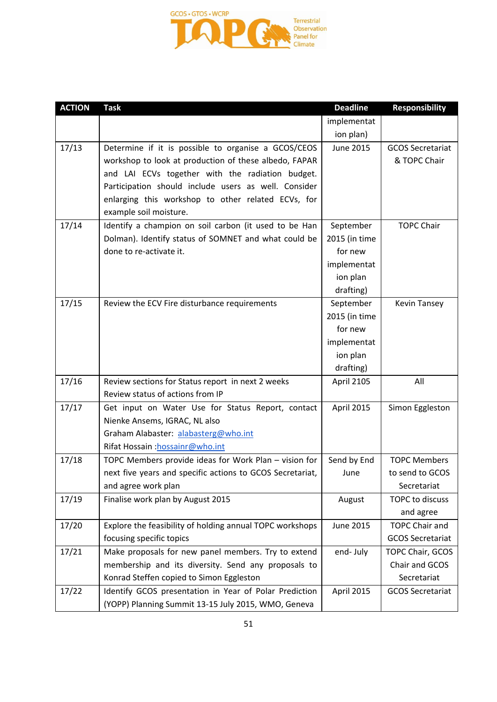

| <b>ACTION</b> | <b>Task</b>                                               | <b>Deadline</b> | <b>Responsibility</b>   |
|---------------|-----------------------------------------------------------|-----------------|-------------------------|
|               |                                                           | implementat     |                         |
|               |                                                           | ion plan)       |                         |
| 17/13         | Determine if it is possible to organise a GCOS/CEOS       | June 2015       | <b>GCOS Secretariat</b> |
|               | workshop to look at production of these albedo, FAPAR     |                 | & TOPC Chair            |
|               | and LAI ECVs together with the radiation budget.          |                 |                         |
|               | Participation should include users as well. Consider      |                 |                         |
|               | enlarging this workshop to other related ECVs, for        |                 |                         |
|               | example soil moisture.                                    |                 |                         |
| 17/14         | Identify a champion on soil carbon (it used to be Han     | September       | <b>TOPC Chair</b>       |
|               | Dolman). Identify status of SOMNET and what could be      | 2015 (in time   |                         |
|               | done to re-activate it.                                   | for new         |                         |
|               |                                                           | implementat     |                         |
|               |                                                           | ion plan        |                         |
|               |                                                           | drafting)       |                         |
| 17/15         | Review the ECV Fire disturbance requirements              | September       | <b>Kevin Tansey</b>     |
|               |                                                           | 2015 (in time   |                         |
|               |                                                           | for new         |                         |
|               |                                                           | implementat     |                         |
|               |                                                           | ion plan        |                         |
|               |                                                           | drafting)       |                         |
| 17/16         | Review sections for Status report in next 2 weeks         | April 2105      | All                     |
|               | Review status of actions from IP                          |                 |                         |
| 17/17         | Get input on Water Use for Status Report, contact         | April 2015      | Simon Eggleston         |
|               | Nienke Ansems, IGRAC, NL also                             |                 |                         |
|               | Graham Alabaster: alabasterg@who.int                      |                 |                         |
|               | Rifat Hossain: hossainr@who.int                           |                 |                         |
| 17/18         | TOPC Members provide ideas for Work Plan - vision for     | Send by End     | <b>TOPC Members</b>     |
|               | next five years and specific actions to GCOS Secretariat, | June            | to send to GCOS         |
|               | and agree work plan                                       |                 | Secretariat             |
| 17/19         | Finalise work plan by August 2015                         | August          | TOPC to discuss         |
|               |                                                           |                 | and agree               |
| 17/20         | Explore the feasibility of holding annual TOPC workshops  | June 2015       | <b>TOPC Chair and</b>   |
|               | focusing specific topics                                  |                 | <b>GCOS Secretariat</b> |
| 17/21         | Make proposals for new panel members. Try to extend       | end-July        | TOPC Chair, GCOS        |
|               | membership and its diversity. Send any proposals to       |                 | Chair and GCOS          |
|               | Konrad Steffen copied to Simon Eggleston                  |                 | Secretariat             |
| 17/22         | Identify GCOS presentation in Year of Polar Prediction    | April 2015      | <b>GCOS Secretariat</b> |
|               | (YOPP) Planning Summit 13-15 July 2015, WMO, Geneva       |                 |                         |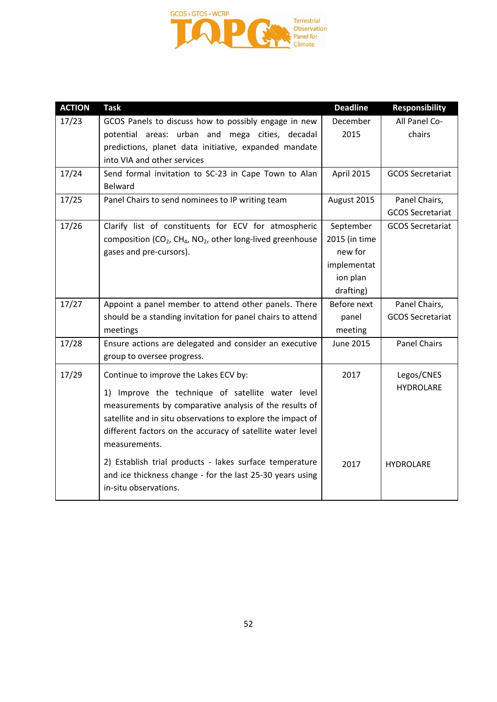

| <b>ACTION</b> | <b>Task</b>                                                                                                 | <b>Deadline</b>  | <b>Responsibility</b>   |
|---------------|-------------------------------------------------------------------------------------------------------------|------------------|-------------------------|
| 17/23         | GCOS Panels to discuss how to possibly engage in new                                                        | December         | All Panel Co-           |
|               | potential areas: urban and mega cities, decadal                                                             | 2015             | chairs                  |
|               | predictions, planet data initiative, expanded mandate                                                       |                  |                         |
|               | into VIA and other services                                                                                 |                  |                         |
| 17/24         | Send formal invitation to SC-23 in Cape Town to Alan                                                        | April 2015       | <b>GCOS Secretariat</b> |
|               | <b>Belward</b>                                                                                              |                  |                         |
| 17/25         | Panel Chairs to send nominees to IP writing team                                                            | August 2015      | Panel Chairs,           |
|               |                                                                                                             |                  | <b>GCOS Secretariat</b> |
| 17/26         | Clarify list of constituents for ECV for atmospheric                                                        | September        | <b>GCOS Secretariat</b> |
|               | composition (CO <sub>2</sub> , CH <sub>4</sub> , NO <sub>2</sub> , other long-lived greenhouse              | 2015 (in time    |                         |
|               | gases and pre-cursors).                                                                                     | new for          |                         |
|               |                                                                                                             | implementat      |                         |
|               |                                                                                                             | ion plan         |                         |
|               |                                                                                                             | drafting)        |                         |
| 17/27         | Appoint a panel member to attend other panels. There                                                        | Before next      | Panel Chairs,           |
|               | should be a standing invitation for panel chairs to attend                                                  | panel            | <b>GCOS Secretariat</b> |
|               | meetings                                                                                                    | meeting          |                         |
| 17/28         | Ensure actions are delegated and consider an executive                                                      | <b>June 2015</b> | <b>Panel Chairs</b>     |
|               | group to oversee progress.                                                                                  |                  |                         |
| 17/29         | Continue to improve the Lakes ECV by:                                                                       | 2017             | Legos/CNES              |
|               |                                                                                                             |                  | <b>HYDROLARE</b>        |
|               | 1) Improve the technique of satellite water level<br>measurements by comparative analysis of the results of |                  |                         |
|               | satellite and in situ observations to explore the impact of                                                 |                  |                         |
|               | different factors on the accuracy of satellite water level                                                  |                  |                         |
|               | measurements.                                                                                               |                  |                         |
|               |                                                                                                             |                  |                         |
|               | 2) Establish trial products - lakes surface temperature                                                     | 2017             | <b>HYDROLARE</b>        |
|               | and ice thickness change - for the last 25-30 years using                                                   |                  |                         |
|               | in-situ observations.                                                                                       |                  |                         |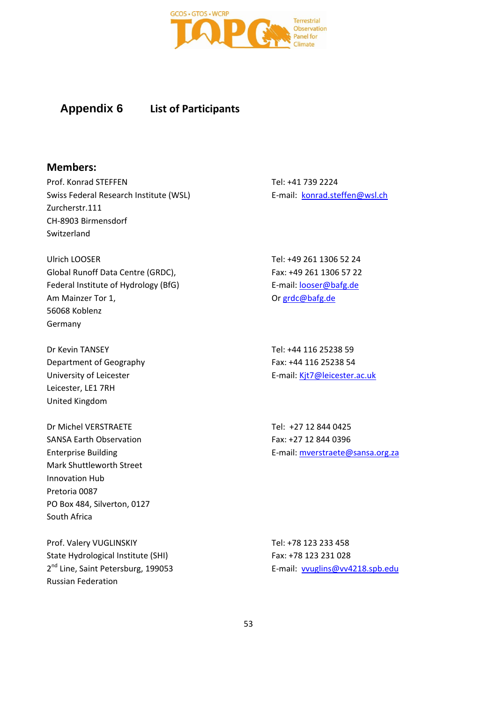

## **Appendix 6 List of Participants**

### **Members:**

Prof. Konrad STEFFEN Swiss Federal Research Institute (WSL) Zurcherstr.111 CH-8903 Birmensdorf Switzerland

Ulrich LOOSER Global Runoff Data Centre (GRDC), Federal Institute of Hydrology (BfG) Am Mainzer Tor 1, 56068 Koblenz Germany

Dr Kevin TANSEY Department of Geography University of Leicester Leicester, LE1 7RH United Kingdom

Dr Michel VERSTRAETE SANSA Earth Observation Enterprise Building Mark Shuttleworth Street Innovation Hub Pretoria 0087 PO Box 484, Silverton, 0127 South Africa

Prof. Valery VUGLINSKIY State Hydrological Institute (SHI) 2<sup>nd</sup> Line, Saint Petersburg, 199053 Russian Federation

Tel: +41 739 2224 E-mail: [konrad.steffen@wsl.ch](mailto:konrad.steffen@wsl.ch)

Tel: +49 261 1306 52 24 Fax: +49 261 1306 57 22 E-mail: [looser@bafg.de](mailto:looser@bafg.de) Or [grdc@bafg.de](mailto:grdc@bafg.de)

Tel: +44 116 25238 59 Fax: +44 116 25238 54 E-mail: [Kjt7@leicester.ac.uk](mailto:Kjt7@leicester.ac.uk)

Tel: +27 12 844 0425 Fax: +27 12 844 0396 E-mail: [mverstraete@sansa.org.za](mailto:mverstraete@sansa.org.za)

Tel: +78 123 233 458 Fax: +78 123 231 028 E-mail: [vvuglins@vv4218.spb.edu](mailto:vvuglins@vv4218.spb.edu)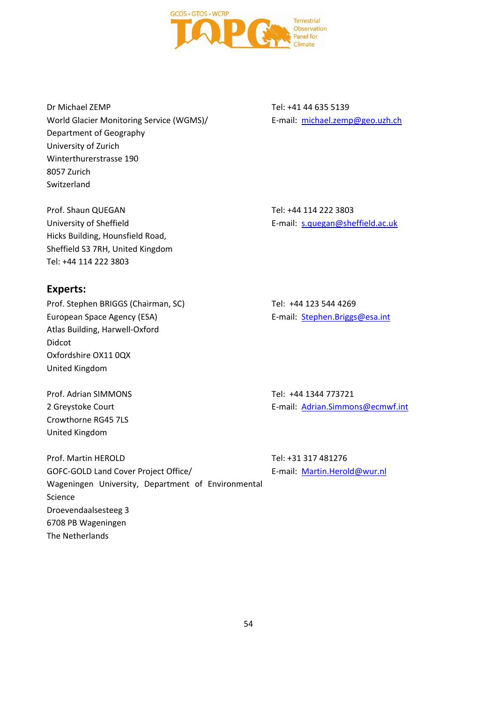

Dr Michael ZEMP World Glacier Monitoring Service (WGMS)/ Department of Geography University of Zurich Winterthurerstrasse 190 8057 Zurich Switzerland

Prof. Shaun QUEGAN University of Sheffield Hicks Building, Hounsfield Road, Sheffield S3 7RH, United Kingdom Tel: +44 114 222 3803

**Experts:**

Prof. Stephen BRIGGS (Chairman, SC) European Space Agency (ESA) Atlas Building, Harwell-Oxford Didcot Oxfordshire OX11 0QX United Kingdom

Prof. Adrian SIMMONS 2 Greystoke Court Crowthorne RG45 7LS United Kingdom

Prof. Martin HEROLD GOFC-GOLD Land Cover Project Office/ Wageningen University, Department of Environmental Science Droevendaalsesteeg 3 6708 PB Wageningen The Netherlands

Tel: +41 44 635 5139 E-mail: [michael.zemp@geo.uzh.ch](mailto:michael.zemp@geo.uzh.ch)

Tel: +44 114 222 3803 E-mail: [s.quegan@sheffield.ac.uk](mailto:s.quegan@sheffield.ac.uk)

Tel: +44 123 544 4269 E-mail: [Stephen.Briggs@esa.int](mailto:Stephen.Briggs@esa.int)

Tel: +44 1344 773721 E-mail: [Adrian.Simmons@ecmwf.int](mailto:Adrian.Simmons@ecmwf.int)

Tel: +31 317 481276 E-mail: [Martin.Herold@wur.nl](mailto:Martin.Herold@wur.nl)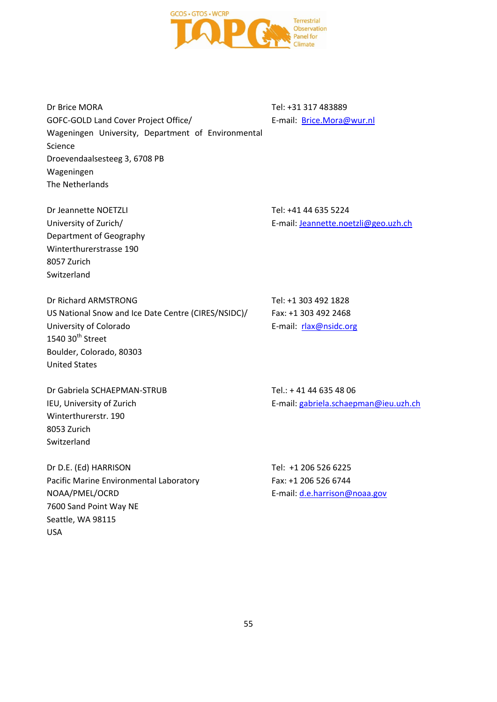

Dr Brice MORA GOFC-GOLD Land Cover Project Office/ Wageningen University, Department of Environmental Science Droevendaalsesteeg 3, 6708 PB Wageningen The Netherlands

Tel: +31 317 483889 E-mail: [Brice.Mora@wur.nl](mailto:Brice.Mora@wur.nl)

Dr Jeannette NOETZLI University of Zurich/ Department of Geography Winterthurerstrasse 190 8057 Zurich Switzerland

Tel: +41 44 635 5224 E-mail: [Jeannette.noetzli@geo.uzh.ch](mailto:Jeannette.noetzli@geo.uzh.ch)

Dr Richard ARMSTRONG US National Snow and Ice Date Centre (CIRES/NSIDC)/ University of Colorado  $1540$  30<sup>th</sup> Street Boulder, Colorado, 80303 United States

Dr Gabriela SCHAEPMAN-STRUB IEU, University of Zurich Winterthurerstr. 190 8053 Zurich Switzerland

Dr D.E. (Ed) HARRISON Pacific Marine Environmental Laboratory NOAA/PMEL/OCRD 7600 Sand Point Way NE Seattle, WA 98115 USA

Tel: +1 303 492 1828 Fax: +1 303 492 2468 E-mail: [rlax@nsidc.org](mailto:rlax@nsidc.org)

Tel.: + 41 44 635 48 06 E-mail: [gabriela.schaepman@ieu.uzh.ch](mailto:gabriela.schaepman@ieu.uzh.ch) 

Tel: +1 206 526 6225 Fax: +1 206 526 6744 E-mail: [d.e.harrison@noaa.gov](mailto:d.e.harrison@noaa.gov)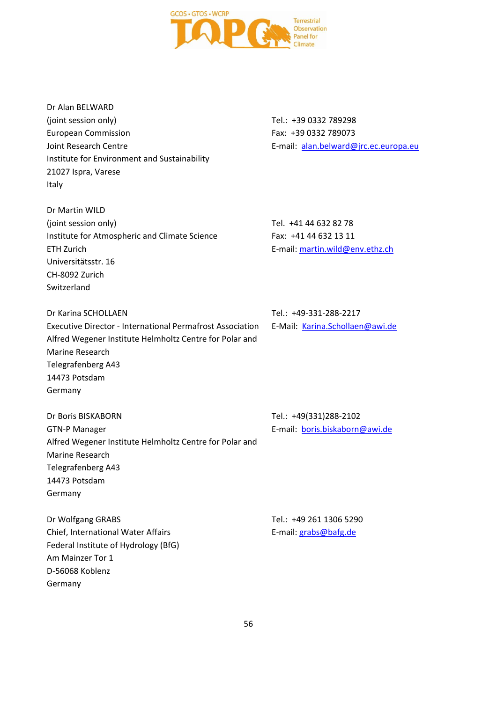

Dr Alan BELWARD (joint session only) European Commission Joint Research Centre Institute for Environment and Sustainability 21027 Ispra, Varese Italy

Dr Martin WILD (joint session only) Institute for Atmospheric and Climate Science ETH Zurich Universitätsstr. 16 CH-8092 Zurich Switzerland

Dr Karina SCHOLLAEN Executive Director - International Permafrost Association Alfred Wegener Institute Helmholtz Centre for Polar and Marine Research Telegrafenberg A43 14473 Potsdam Germany

Tel.: +49-331-288-2217

E-mail: [martin.wild@env.ethz.ch](mailto:martin.wild@env.ethz.ch)

Tel. +41 44 632 82 78 Fax: +41 44 632 13 11

E-Mail: [Karina.Schollaen@awi.de](mailto:Karina.Schollaen@awi.de)

Dr Boris BISKABORN GTN-P Manager Alfred Wegener Institute Helmholtz Centre for Polar and Marine Research Telegrafenberg A43 14473 Potsdam Germany

Dr Wolfgang GRABS Chief, International Water Affairs Federal Institute of Hydrology (BfG) Am Mainzer Tor 1 D-56068 Koblenz Germany

Tel.: +49(331)288-2102 E-mail: [boris.biskaborn@awi.de](mailto:boris.biskaborn@awi.de)

Tel.: +49 261 1306 5290 E-mail: [grabs@bafg.de](mailto:grabs@bafg.de)

Tel.: +39 0332 789298 Fax: +39 0332 789073 E-mail: [alan.belward@jrc.ec.europa.eu](mailto:alan.belward@jrc.ec.europa.eu)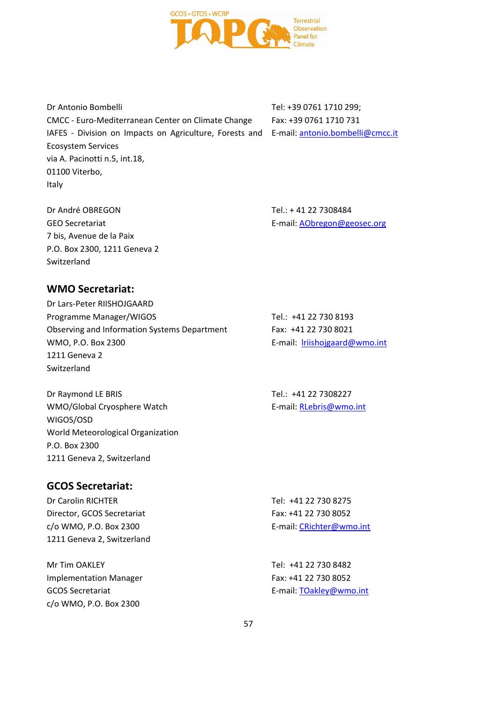

Dr Antonio Bombelli CMCC - Euro-Mediterranean Center on Climate Change IAFES - Division on Impacts on Agriculture, Forests and E-mail: **antonio.bombelli@cmcc.it** Ecosystem Services via A. Pacinotti n.5, int.18, 01100 Viterbo, Italy

Tel: +39 0761 1710 299; Fax: +39 0761 1710 731

Dr André OBREGON GEO Secretariat 7 bis, Avenue de la Paix P.O. Box 2300, 1211 Geneva 2 Switzerland

Tel.: + 41 22 7308484 E-mail: [AObregon@geosec.org](mailto:AObregon@geosec.org)

### **WMO Secretariat:**

Dr Lars-Peter RIISHOJGAARD Programme Manager/WIGOS Observing and Information Systems Department WMO, P.O. Box 2300 1211 Geneva 2 Switzerland

Dr Raymond LE BRIS WMO/Global Cryosphere Watch WIGOS/OSD World Meteorological Organization P.O. Box 2300 1211 Geneva 2, Switzerland

### **GCOS Secretariat:**

Dr Carolin RICHTER Director, GCOS Secretariat c/o WMO, P.O. Box 2300 1211 Geneva 2, Switzerland Tel: +41 22 730 8275 Fax: +41 22 730 8052 E-mail: [CRichter@wmo.int](mailto:CRichter@wmo.int)

Mr Tim OAKLEY Implementation Manager GCOS Secretariat c/o WMO, P.O. Box 2300 Tel: +41 22 730 8482 Fax: +41 22 730 8052 E-mail: [TOakley@wmo.int](mailto:TOakley@wmo.int)

E-mail: [lriishojgaard@wmo.int](mailto:lriishojgaard@wmo.int)

Tel.: +41 22 730 8193 Fax: +41 22 730 8021

Tel.: +41 22 7308227 E-mail: [RLebris@wmo.int](mailto:RLebris@wmo.int)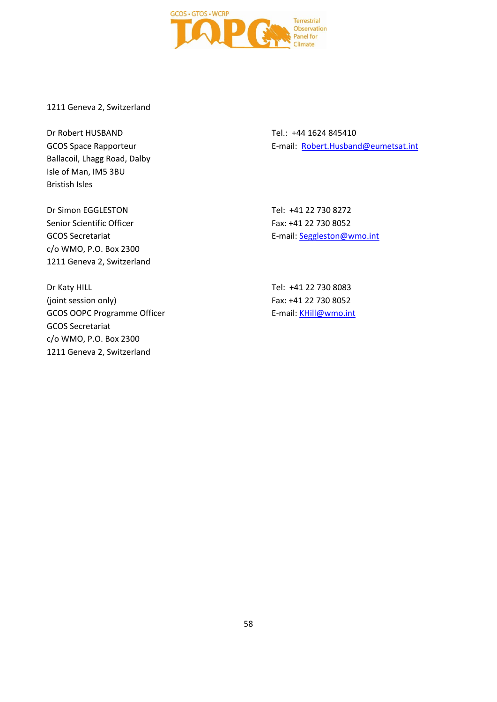

1211 Geneva 2, Switzerland

Dr Robert HUSBAND GCOS Space Rapporteur Ballacoil, Lhagg Road, Dalby Isle of Man, IM5 3BU Bristish Isles

Tel.: +44 1624 845410 E-mail: [Robert.Husband@eumetsat.int](mailto:Robert.Husband@eumetsat.int)

Dr Simon EGGLESTON Senior Scientific Officer GCOS Secretariat c/o WMO, P.O. Box 2300 1211 Geneva 2, Switzerland

Dr Katy HILL (joint session only) GCOS OOPC Programme Officer GCOS Secretariat c/o WMO, P.O. Box 2300 1211 Geneva 2, Switzerland

Tel: +41 22 730 8272 Fax: +41 22 730 8052 E-mail: [Seggleston@wmo.int](mailto:Seggleston@wmo.int)

Tel: +41 22 730 8083 Fax: +41 22 730 8052 E-mail: [KHill@wmo.int](mailto:KHill@wmo.int)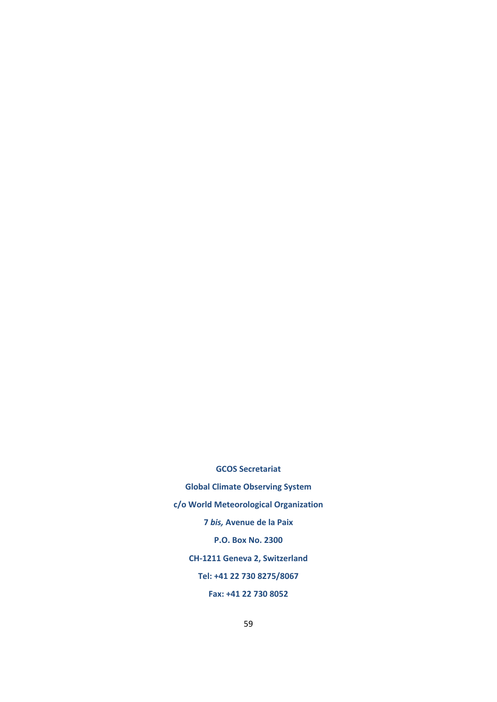**GCOS Secretariat Global Climate Observing System c/o World Meteorological Organization 7** *bis,* **Avenue de la Paix P.O. Box No. 2300 CH-1211 Geneva 2, Switzerland Tel: +41 22 730 8275/8067 Fax: +41 22 730 8052**